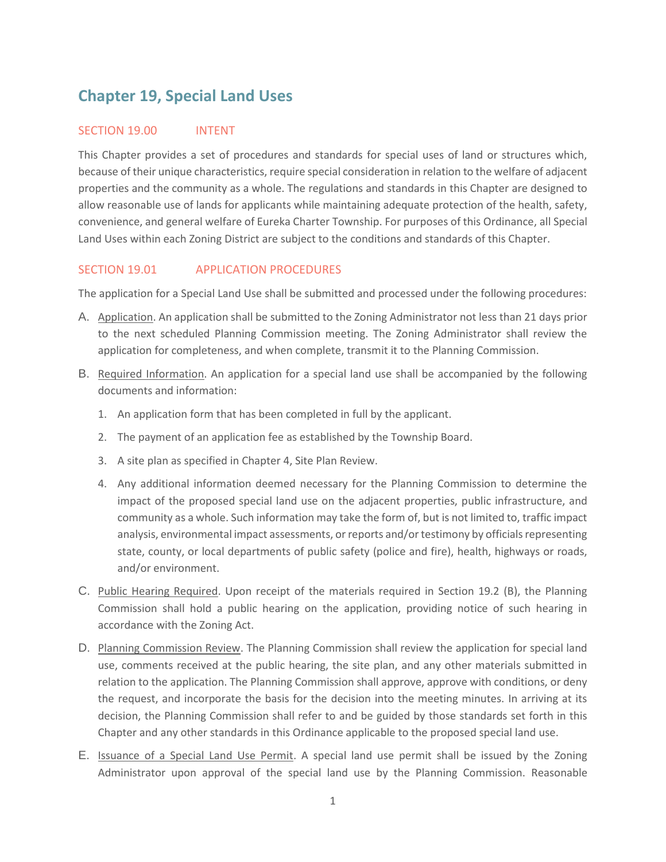# **Chapter 19, Special Land Uses**

#### SECTION 19.00 INTENT

This Chapter provides a set of procedures and standards for special uses of land or structures which, because of their unique characteristics, require special consideration in relation to the welfare of adjacent properties and the community as a whole. The regulations and standards in this Chapter are designed to allow reasonable use of lands for applicants while maintaining adequate protection of the health, safety, convenience, and general welfare of Eureka Charter Township. For purposes of this Ordinance, all Special Land Uses within each Zoning District are subject to the conditions and standards of this Chapter.

## SECTION 19.01 APPLICATION PROCEDURES

The application for a Special Land Use shall be submitted and processed under the following procedures:

- A. Application. An application shall be submitted to the Zoning Administrator not less than 21 days prior to the next scheduled Planning Commission meeting. The Zoning Administrator shall review the application for completeness, and when complete, transmit it to the Planning Commission.
- B. Required Information. An application for a special land use shall be accompanied by the following documents and information:
	- 1. An application form that has been completed in full by the applicant.
	- 2. The payment of an application fee as established by the Township Board.
	- 3. A site plan as specified in Chapter 4, Site Plan Review.
	- 4. Any additional information deemed necessary for the Planning Commission to determine the impact of the proposed special land use on the adjacent properties, public infrastructure, and community as a whole. Such information may take the form of, but is not limited to, traffic impact analysis, environmental impact assessments, or reports and/or testimony by officials representing state, county, or local departments of public safety (police and fire), health, highways or roads, and/or environment.
- C. Public Hearing Required. Upon receipt of the materials required in Section 19.2 (B), the Planning Commission shall hold a public hearing on the application, providing notice of such hearing in accordance with the Zoning Act.
- D. Planning Commission Review. The Planning Commission shall review the application for special land use, comments received at the public hearing, the site plan, and any other materials submitted in relation to the application. The Planning Commission shall approve, approve with conditions, or deny the request, and incorporate the basis for the decision into the meeting minutes. In arriving at its decision, the Planning Commission shall refer to and be guided by those standards set forth in this Chapter and any other standards in this Ordinance applicable to the proposed special land use.
- E. Issuance of a Special Land Use Permit. A special land use permit shall be issued by the Zoning Administrator upon approval of the special land use by the Planning Commission. Reasonable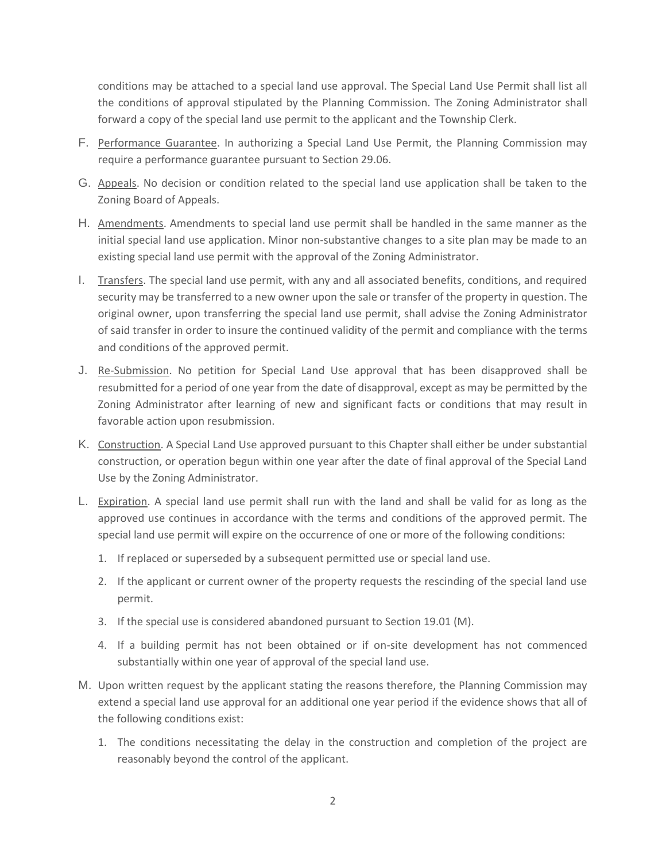conditions may be attached to a special land use approval. The Special Land Use Permit shall list all the conditions of approval stipulated by the Planning Commission. The Zoning Administrator shall forward a copy of the special land use permit to the applicant and the Township Clerk.

- F. Performance Guarantee. In authorizing a Special Land Use Permit, the Planning Commission may require a performance guarantee pursuant to Section 29.06.
- G. Appeals. No decision or condition related to the special land use application shall be taken to the Zoning Board of Appeals.
- H. Amendments. Amendments to special land use permit shall be handled in the same manner as the initial special land use application. Minor non-substantive changes to a site plan may be made to an existing special land use permit with the approval of the Zoning Administrator.
- I. Transfers. The special land use permit, with any and all associated benefits, conditions, and required security may be transferred to a new owner upon the sale or transfer of the property in question. The original owner, upon transferring the special land use permit, shall advise the Zoning Administrator of said transfer in order to insure the continued validity of the permit and compliance with the terms and conditions of the approved permit.
- J. Re-Submission. No petition for Special Land Use approval that has been disapproved shall be resubmitted for a period of one year from the date of disapproval, except as may be permitted by the Zoning Administrator after learning of new and significant facts or conditions that may result in favorable action upon resubmission.
- K. Construction. A Special Land Use approved pursuant to this Chapter shall either be under substantial construction, or operation begun within one year after the date of final approval of the Special Land Use by the Zoning Administrator.
- L. Expiration. A special land use permit shall run with the land and shall be valid for as long as the approved use continues in accordance with the terms and conditions of the approved permit. The special land use permit will expire on the occurrence of one or more of the following conditions:
	- 1. If replaced or superseded by a subsequent permitted use or special land use.
	- 2. If the applicant or current owner of the property requests the rescinding of the special land use permit.
	- 3. If the special use is considered abandoned pursuant to Section 19.01 (M).
	- 4. If a building permit has not been obtained or if on-site development has not commenced substantially within one year of approval of the special land use.
- M. Upon written request by the applicant stating the reasons therefore, the Planning Commission may extend a special land use approval for an additional one year period if the evidence shows that all of the following conditions exist:
	- 1. The conditions necessitating the delay in the construction and completion of the project are reasonably beyond the control of the applicant.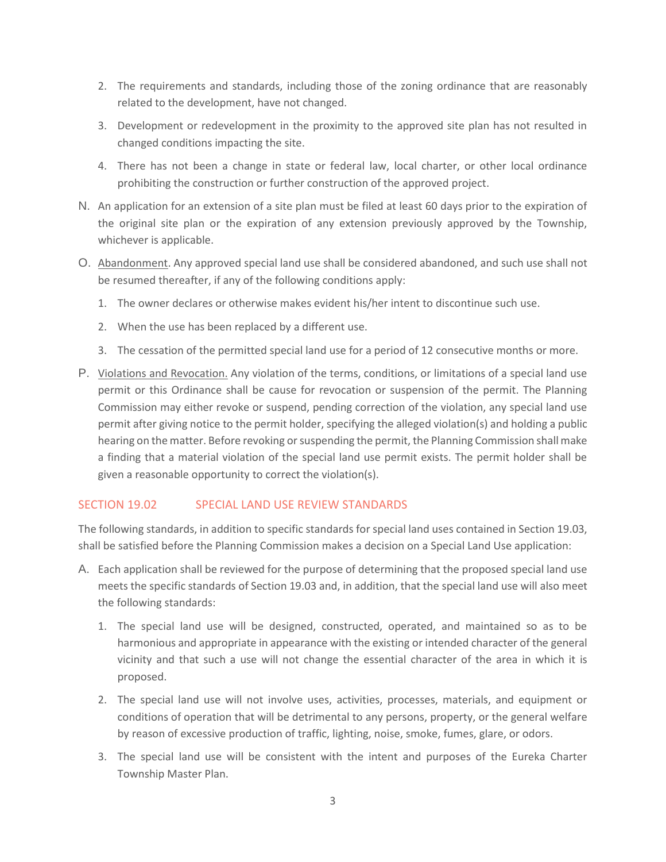- 2. The requirements and standards, including those of the zoning ordinance that are reasonably related to the development, have not changed.
- 3. Development or redevelopment in the proximity to the approved site plan has not resulted in changed conditions impacting the site.
- 4. There has not been a change in state or federal law, local charter, or other local ordinance prohibiting the construction or further construction of the approved project.
- N. An application for an extension of a site plan must be filed at least 60 days prior to the expiration of the original site plan or the expiration of any extension previously approved by the Township, whichever is applicable.
- O. Abandonment. Any approved special land use shall be considered abandoned, and such use shall not be resumed thereafter, if any of the following conditions apply:
	- 1. The owner declares or otherwise makes evident his/her intent to discontinue such use.
	- 2. When the use has been replaced by a different use.
	- 3. The cessation of the permitted special land use for a period of 12 consecutive months or more.
- P. Violations and Revocation. Any violation of the terms, conditions, or limitations of a special land use permit or this Ordinance shall be cause for revocation or suspension of the permit. The Planning Commission may either revoke or suspend, pending correction of the violation, any special land use permit after giving notice to the permit holder, specifying the alleged violation(s) and holding a public hearing on the matter. Before revoking or suspending the permit, the Planning Commission shall make a finding that a material violation of the special land use permit exists. The permit holder shall be given a reasonable opportunity to correct the violation(s).

## SECTION 19.02 SPECIAL LAND USE REVIEW STANDARDS

The following standards, in addition to specific standards for special land uses contained in Section 19.03, shall be satisfied before the Planning Commission makes a decision on a Special Land Use application:

- A. Each application shall be reviewed for the purpose of determining that the proposed special land use meets the specific standards of Section 19.03 and, in addition, that the special land use will also meet the following standards:
	- 1. The special land use will be designed, constructed, operated, and maintained so as to be harmonious and appropriate in appearance with the existing or intended character of the general vicinity and that such a use will not change the essential character of the area in which it is proposed.
	- 2. The special land use will not involve uses, activities, processes, materials, and equipment or conditions of operation that will be detrimental to any persons, property, or the general welfare by reason of excessive production of traffic, lighting, noise, smoke, fumes, glare, or odors.
	- 3. The special land use will be consistent with the intent and purposes of the Eureka Charter Township Master Plan.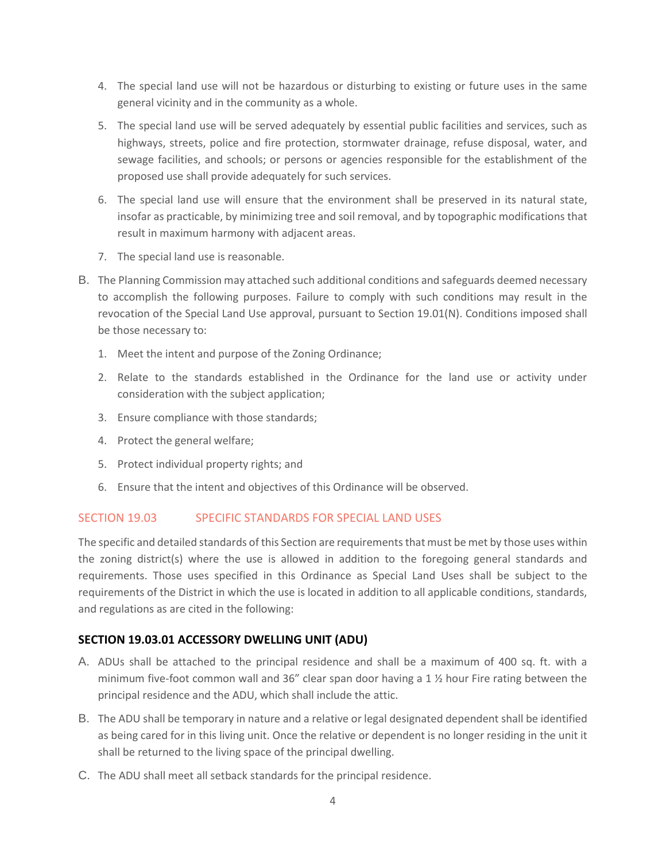- 4. The special land use will not be hazardous or disturbing to existing or future uses in the same general vicinity and in the community as a whole.
- 5. The special land use will be served adequately by essential public facilities and services, such as highways, streets, police and fire protection, stormwater drainage, refuse disposal, water, and sewage facilities, and schools; or persons or agencies responsible for the establishment of the proposed use shall provide adequately for such services.
- 6. The special land use will ensure that the environment shall be preserved in its natural state, insofar as practicable, by minimizing tree and soil removal, and by topographic modifications that result in maximum harmony with adjacent areas.
- 7. The special land use is reasonable.
- B. The Planning Commission may attached such additional conditions and safeguards deemed necessary to accomplish the following purposes. Failure to comply with such conditions may result in the revocation of the Special Land Use approval, pursuant to Section 19.01(N). Conditions imposed shall be those necessary to:
	- 1. Meet the intent and purpose of the Zoning Ordinance;
	- 2. Relate to the standards established in the Ordinance for the land use or activity under consideration with the subject application;
	- 3. Ensure compliance with those standards;
	- 4. Protect the general welfare;
	- 5. Protect individual property rights; and
	- 6. Ensure that the intent and objectives of this Ordinance will be observed.

## SECTION 19.03 SPECIFIC STANDARDS FOR SPECIAL LAND USES

The specific and detailed standards of this Section are requirements that must be met by those uses within the zoning district(s) where the use is allowed in addition to the foregoing general standards and requirements. Those uses specified in this Ordinance as Special Land Uses shall be subject to the requirements of the District in which the use is located in addition to all applicable conditions, standards, and regulations as are cited in the following:

## **SECTION 19.03.01 ACCESSORY DWELLING UNIT (ADU)**

- A. ADUs shall be attached to the principal residence and shall be a maximum of 400 sq. ft. with a minimum five-foot common wall and 36" clear span door having a 1  $\frac{1}{2}$  hour Fire rating between the principal residence and the ADU, which shall include the attic.
- B. The ADU shall be temporary in nature and a relative or legal designated dependent shall be identified as being cared for in this living unit. Once the relative or dependent is no longer residing in the unit it shall be returned to the living space of the principal dwelling.
- C. The ADU shall meet all setback standards for the principal residence.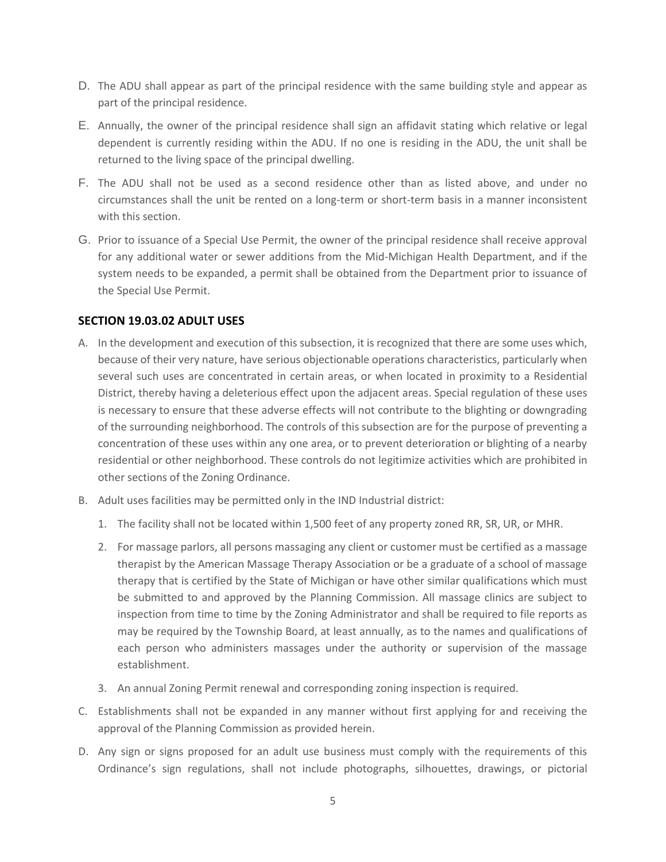- D. The ADU shall appear as part of the principal residence with the same building style and appear as part of the principal residence.
- E. Annually, the owner of the principal residence shall sign an affidavit stating which relative or legal dependent is currently residing within the ADU. If no one is residing in the ADU, the unit shall be returned to the living space of the principal dwelling.
- F. The ADU shall not be used as a second residence other than as listed above, and under no circumstances shall the unit be rented on a long-term or short-term basis in a manner inconsistent with this section.
- G. Prior to issuance of a Special Use Permit, the owner of the principal residence shall receive approval for any additional water or sewer additions from the Mid-Michigan Health Department, and if the system needs to be expanded, a permit shall be obtained from the Department prior to issuance of the Special Use Permit.

# **SECTION 19.03.02 ADULT USES**

- A. In the development and execution of this subsection, it is recognized that there are some uses which, because of their very nature, have serious objectionable operations characteristics, particularly when several such uses are concentrated in certain areas, or when located in proximity to a Residential District, thereby having a deleterious effect upon the adjacent areas. Special regulation of these uses is necessary to ensure that these adverse effects will not contribute to the blighting or downgrading of the surrounding neighborhood. The controls of this subsection are for the purpose of preventing a concentration of these uses within any one area, or to prevent deterioration or blighting of a nearby residential or other neighborhood. These controls do not legitimize activities which are prohibited in other sections of the Zoning Ordinance.
- B. Adult uses facilities may be permitted only in the IND Industrial district:
	- 1. The facility shall not be located within 1,500 feet of any property zoned RR, SR, UR, or MHR.
	- 2. For massage parlors, all persons massaging any client or customer must be certified as a massage therapist by the American Massage Therapy Association or be a graduate of a school of massage therapy that is certified by the State of Michigan or have other similar qualifications which must be submitted to and approved by the Planning Commission. All massage clinics are subject to inspection from time to time by the Zoning Administrator and shall be required to file reports as may be required by the Township Board, at least annually, as to the names and qualifications of each person who administers massages under the authority or supervision of the massage establishment.
	- 3. An annual Zoning Permit renewal and corresponding zoning inspection is required.
- C. Establishments shall not be expanded in any manner without first applying for and receiving the approval of the Planning Commission as provided herein.
- D. Any sign or signs proposed for an adult use business must comply with the requirements of this Ordinance's sign regulations, shall not include photographs, silhouettes, drawings, or pictorial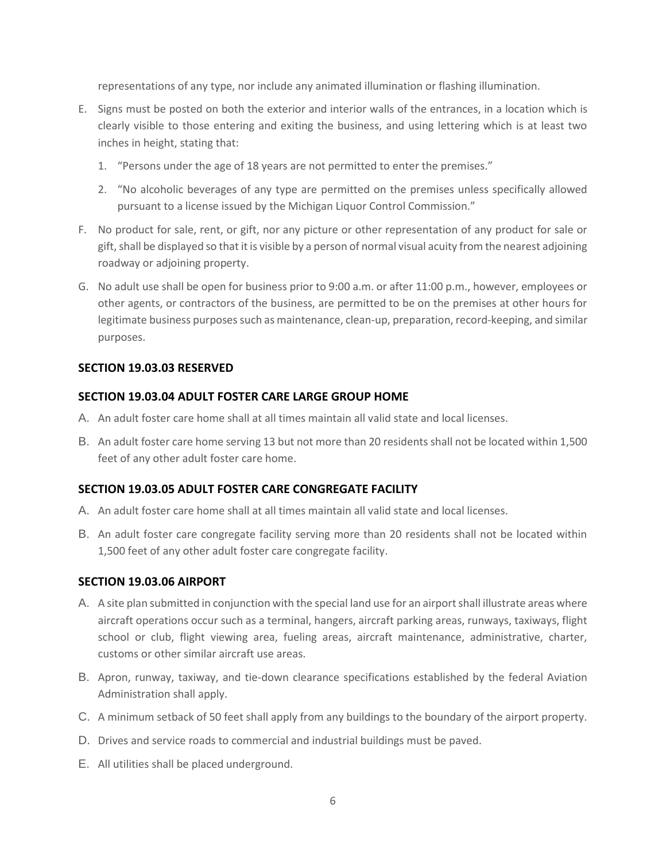representations of any type, nor include any animated illumination or flashing illumination.

- E. Signs must be posted on both the exterior and interior walls of the entrances, in a location which is clearly visible to those entering and exiting the business, and using lettering which is at least two inches in height, stating that:
	- 1. "Persons under the age of 18 years are not permitted to enter the premises."
	- 2. "No alcoholic beverages of any type are permitted on the premises unless specifically allowed pursuant to a license issued by the Michigan Liquor Control Commission."
- F. No product for sale, rent, or gift, nor any picture or other representation of any product for sale or gift, shall be displayed so that it is visible by a person of normal visual acuity from the nearest adjoining roadway or adjoining property.
- G. No adult use shall be open for business prior to 9:00 a.m. or after 11:00 p.m., however, employees or other agents, or contractors of the business, are permitted to be on the premises at other hours for legitimate business purposes such as maintenance, clean-up, preparation, record-keeping, and similar purposes.

#### **SECTION 19.03.03 RESERVED**

#### **SECTION 19.03.04 ADULT FOSTER CARE LARGE GROUP HOME**

- A. An adult foster care home shall at all times maintain all valid state and local licenses.
- B. An adult foster care home serving 13 but not more than 20 residents shall not be located within 1,500 feet of any other adult foster care home.

## **SECTION 19.03.05 ADULT FOSTER CARE CONGREGATE FACILITY**

- A. An adult foster care home shall at all times maintain all valid state and local licenses.
- B. An adult foster care congregate facility serving more than 20 residents shall not be located within 1,500 feet of any other adult foster care congregate facility.

#### **SECTION 19.03.06 AIRPORT**

- A. A site plan submitted in conjunction with the special land use for an airport shall illustrate areas where aircraft operations occur such as a terminal, hangers, aircraft parking areas, runways, taxiways, flight school or club, flight viewing area, fueling areas, aircraft maintenance, administrative, charter, customs or other similar aircraft use areas.
- B. Apron, runway, taxiway, and tie-down clearance specifications established by the federal Aviation Administration shall apply.
- C. A minimum setback of 50 feet shall apply from any buildings to the boundary of the airport property.
- D. Drives and service roads to commercial and industrial buildings must be paved.
- E. All utilities shall be placed underground.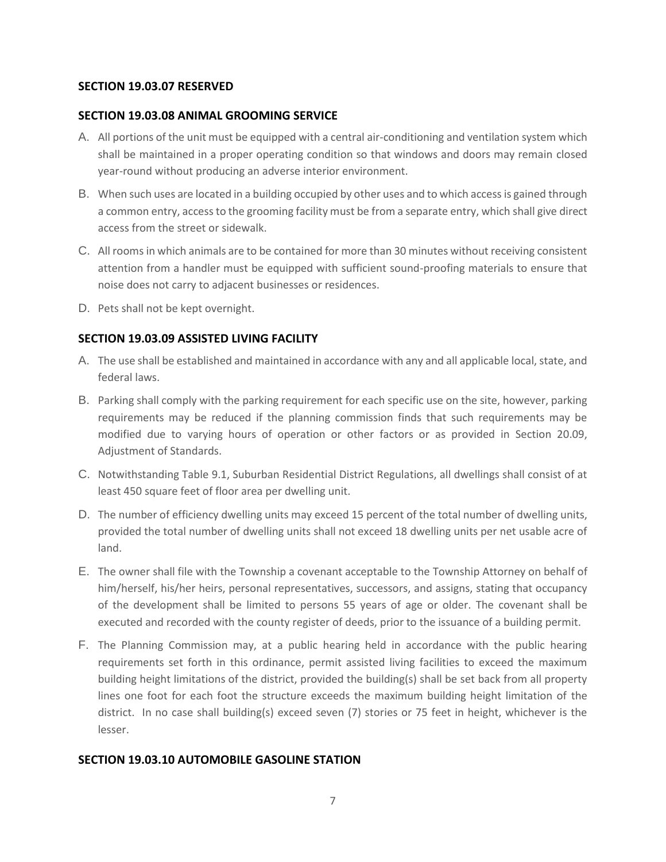## **SECTION 19.03.07 RESERVED**

#### **SECTION 19.03.08 ANIMAL GROOMING SERVICE**

- A. All portions of the unit must be equipped with a central air-conditioning and ventilation system which shall be maintained in a proper operating condition so that windows and doors may remain closed year-round without producing an adverse interior environment.
- B. When such uses are located in a building occupied by other uses and to which access is gained through a common entry, access to the grooming facility must be from a separate entry, which shall give direct access from the street or sidewalk.
- C. All rooms in which animals are to be contained for more than 30 minutes without receiving consistent attention from a handler must be equipped with sufficient sound-proofing materials to ensure that noise does not carry to adjacent businesses or residences.
- D. Pets shall not be kept overnight.

# **SECTION 19.03.09 ASSISTED LIVING FACILITY**

- A. The use shall be established and maintained in accordance with any and all applicable local, state, and federal laws.
- B. Parking shall comply with the parking requirement for each specific use on the site, however, parking requirements may be reduced if the planning commission finds that such requirements may be modified due to varying hours of operation or other factors or as provided in Section 20.09, Adjustment of Standards.
- C. Notwithstanding Table 9.1, Suburban Residential District Regulations, all dwellings shall consist of at least 450 square feet of floor area per dwelling unit.
- D. The number of efficiency dwelling units may exceed 15 percent of the total number of dwelling units, provided the total number of dwelling units shall not exceed 18 dwelling units per net usable acre of land.
- E. The owner shall file with the Township a covenant acceptable to the Township Attorney on behalf of him/herself, his/her heirs, personal representatives, successors, and assigns, stating that occupancy of the development shall be limited to persons 55 years of age or older. The covenant shall be executed and recorded with the county register of deeds, prior to the issuance of a building permit.
- F. The Planning Commission may, at a public hearing held in accordance with the public hearing requirements set forth in this ordinance, permit assisted living facilities to exceed the maximum building height limitations of the district, provided the building(s) shall be set back from all property lines one foot for each foot the structure exceeds the maximum building height limitation of the district. In no case shall building(s) exceed seven (7) stories or 75 feet in height, whichever is the lesser.

## **SECTION 19.03.10 AUTOMOBILE GASOLINE STATION**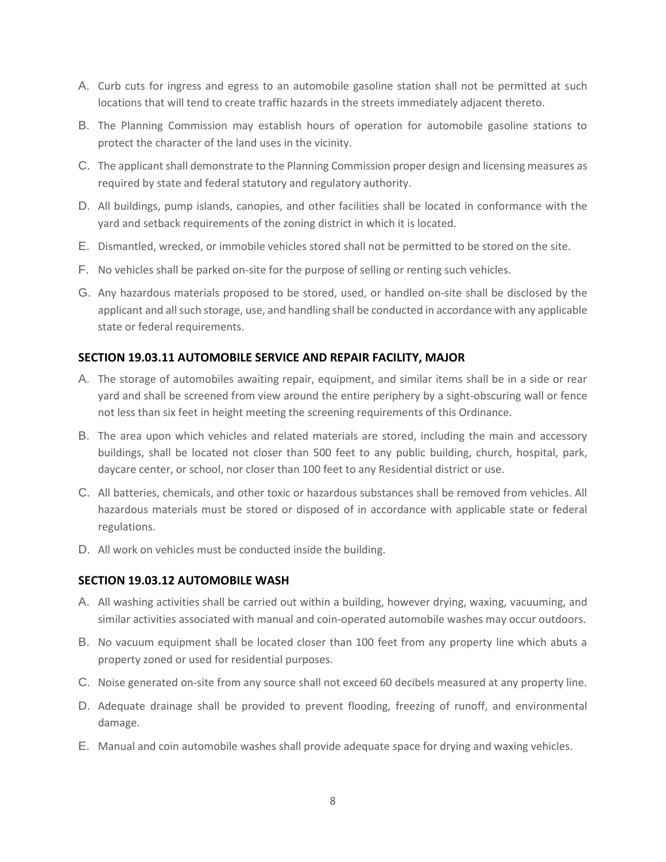- A. Curb cuts for ingress and egress to an automobile gasoline station shall not be permitted at such locations that will tend to create traffic hazards in the streets immediately adjacent thereto.
- B. The Planning Commission may establish hours of operation for automobile gasoline stations to protect the character of the land uses in the vicinity.
- C. The applicant shall demonstrate to the Planning Commission proper design and licensing measures as required by state and federal statutory and regulatory authority.
- D. All buildings, pump islands, canopies, and other facilities shall be located in conformance with the yard and setback requirements of the zoning district in which it is located.
- E. Dismantled, wrecked, or immobile vehicles stored shall not be permitted to be stored on the site.
- F. No vehicles shall be parked on-site for the purpose of selling or renting such vehicles.
- G. Any hazardous materials proposed to be stored, used, or handled on-site shall be disclosed by the applicant and all such storage, use, and handling shall be conducted in accordance with any applicable state or federal requirements.

## **SECTION 19.03.11 AUTOMOBILE SERVICE AND REPAIR FACILITY, MAJOR**

- A. The storage of automobiles awaiting repair, equipment, and similar items shall be in a side or rear yard and shall be screened from view around the entire periphery by a sight-obscuring wall or fence not less than six feet in height meeting the screening requirements of this Ordinance.
- B. The area upon which vehicles and related materials are stored, including the main and accessory buildings, shall be located not closer than 500 feet to any public building, church, hospital, park, daycare center, or school, nor closer than 100 feet to any Residential district or use.
- C. All batteries, chemicals, and other toxic or hazardous substances shall be removed from vehicles. All hazardous materials must be stored or disposed of in accordance with applicable state or federal regulations.
- D. All work on vehicles must be conducted inside the building.

## **SECTION 19.03.12 AUTOMOBILE WASH**

- A. All washing activities shall be carried out within a building, however drying, waxing, vacuuming, and similar activities associated with manual and coin-operated automobile washes may occur outdoors.
- B. No vacuum equipment shall be located closer than 100 feet from any property line which abuts a property zoned or used for residential purposes.
- C. Noise generated on-site from any source shall not exceed 60 decibels measured at any property line.
- D. Adequate drainage shall be provided to prevent flooding, freezing of runoff, and environmental damage.
- E. Manual and coin automobile washes shall provide adequate space for drying and waxing vehicles.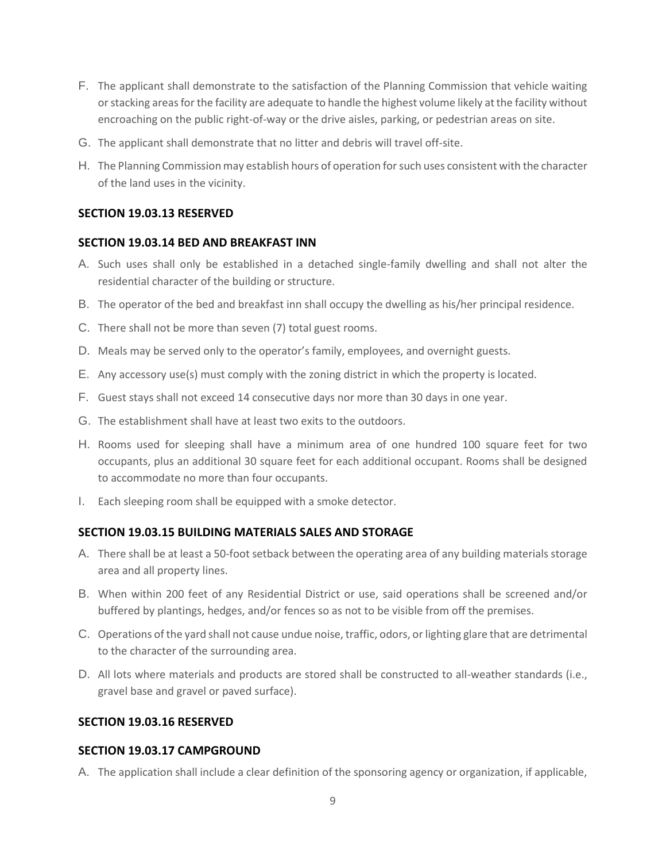- F. The applicant shall demonstrate to the satisfaction of the Planning Commission that vehicle waiting or stacking areas for the facility are adequate to handle the highest volume likely at the facility without encroaching on the public right-of-way or the drive aisles, parking, or pedestrian areas on site.
- G. The applicant shall demonstrate that no litter and debris will travel off-site.
- H. The Planning Commission may establish hours of operation for such uses consistent with the character of the land uses in the vicinity.

#### **SECTION 19.03.13 RESERVED**

#### **SECTION 19.03.14 BED AND BREAKFAST INN**

- A. Such uses shall only be established in a detached single-family dwelling and shall not alter the residential character of the building or structure.
- B. The operator of the bed and breakfast inn shall occupy the dwelling as his/her principal residence.
- C. There shall not be more than seven (7) total guest rooms.
- D. Meals may be served only to the operator's family, employees, and overnight guests.
- E. Any accessory use(s) must comply with the zoning district in which the property is located.
- F. Guest stays shall not exceed 14 consecutive days nor more than 30 days in one year.
- G. The establishment shall have at least two exits to the outdoors.
- H. Rooms used for sleeping shall have a minimum area of one hundred 100 square feet for two occupants, plus an additional 30 square feet for each additional occupant. Rooms shall be designed to accommodate no more than four occupants.
- I. Each sleeping room shall be equipped with a smoke detector.

#### **SECTION 19.03.15 BUILDING MATERIALS SALES AND STORAGE**

- A. There shall be at least a 50-foot setback between the operating area of any building materials storage area and all property lines.
- B. When within 200 feet of any Residential District or use, said operations shall be screened and/or buffered by plantings, hedges, and/or fences so as not to be visible from off the premises.
- C. Operations of the yard shall not cause undue noise, traffic, odors, or lighting glare that are detrimental to the character of the surrounding area.
- D. All lots where materials and products are stored shall be constructed to all-weather standards (i.e., gravel base and gravel or paved surface).

#### **SECTION 19.03.16 RESERVED**

#### **SECTION 19.03.17 CAMPGROUND**

A. The application shall include a clear definition of the sponsoring agency or organization, if applicable,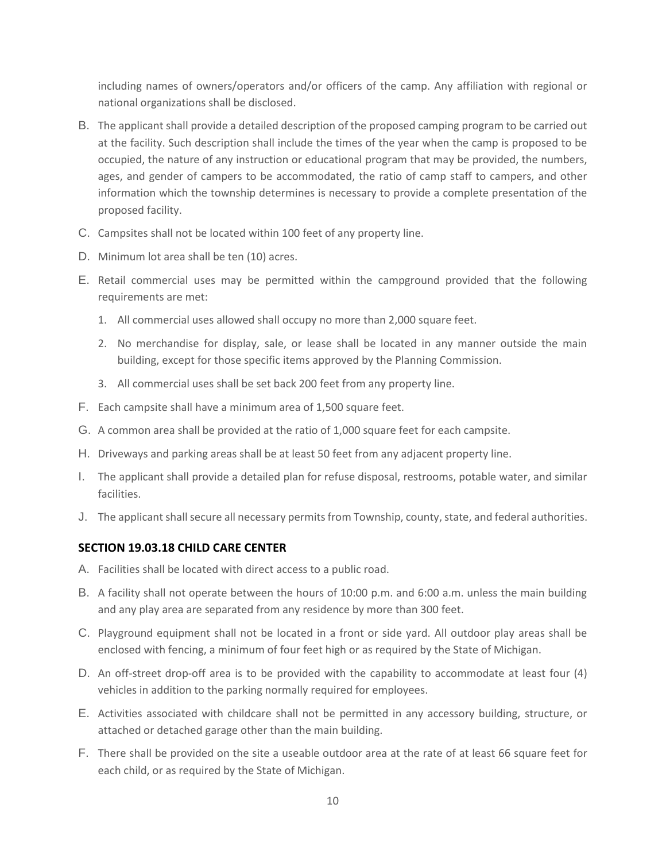including names of owners/operators and/or officers of the camp. Any affiliation with regional or national organizations shall be disclosed.

- B. The applicant shall provide a detailed description of the proposed camping program to be carried out at the facility. Such description shall include the times of the year when the camp is proposed to be occupied, the nature of any instruction or educational program that may be provided, the numbers, ages, and gender of campers to be accommodated, the ratio of camp staff to campers, and other information which the township determines is necessary to provide a complete presentation of the proposed facility.
- C. Campsites shall not be located within 100 feet of any property line.
- D. Minimum lot area shall be ten (10) acres.
- E. Retail commercial uses may be permitted within the campground provided that the following requirements are met:
	- 1. All commercial uses allowed shall occupy no more than 2,000 square feet.
	- 2. No merchandise for display, sale, or lease shall be located in any manner outside the main building, except for those specific items approved by the Planning Commission.
	- 3. All commercial uses shall be set back 200 feet from any property line.
- F. Each campsite shall have a minimum area of 1,500 square feet.
- G. A common area shall be provided at the ratio of 1,000 square feet for each campsite.
- H. Driveways and parking areas shall be at least 50 feet from any adjacent property line.
- I. The applicant shall provide a detailed plan for refuse disposal, restrooms, potable water, and similar facilities.
- J. The applicant shall secure all necessary permits from Township, county, state, and federal authorities.

# **SECTION 19.03.18 CHILD CARE CENTER**

- A. Facilities shall be located with direct access to a public road.
- B. A facility shall not operate between the hours of 10:00 p.m. and 6:00 a.m. unless the main building and any play area are separated from any residence by more than 300 feet.
- C. Playground equipment shall not be located in a front or side yard. All outdoor play areas shall be enclosed with fencing, a minimum of four feet high or as required by the State of Michigan.
- D. An off-street drop-off area is to be provided with the capability to accommodate at least four (4) vehicles in addition to the parking normally required for employees.
- E. Activities associated with childcare shall not be permitted in any accessory building, structure, or attached or detached garage other than the main building.
- F. There shall be provided on the site a useable outdoor area at the rate of at least 66 square feet for each child, or as required by the State of Michigan.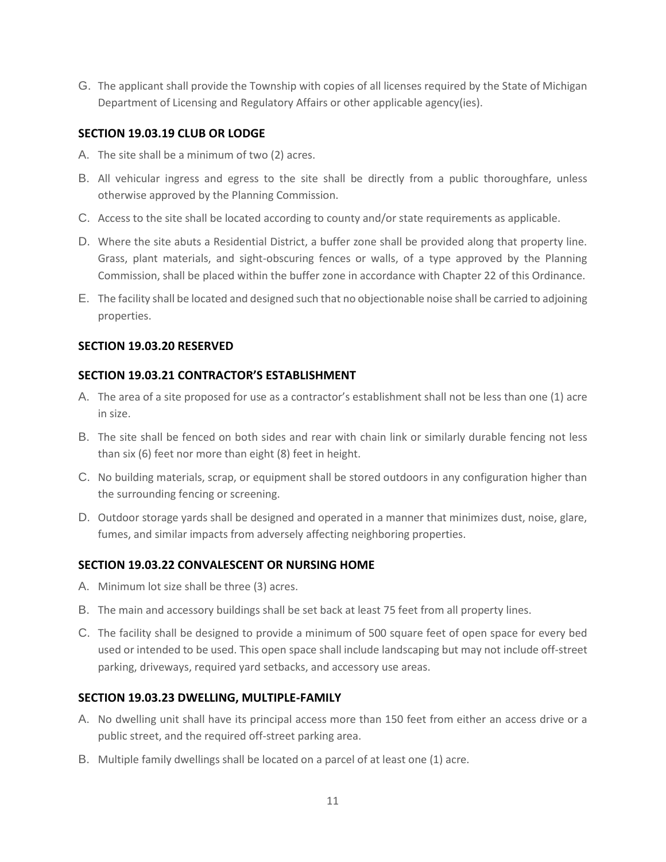G. The applicant shall provide the Township with copies of all licenses required by the State of Michigan Department of Licensing and Regulatory Affairs or other applicable agency(ies).

## **SECTION 19.03.19 CLUB OR LODGE**

- A. The site shall be a minimum of two (2) acres.
- B. All vehicular ingress and egress to the site shall be directly from a public thoroughfare, unless otherwise approved by the Planning Commission.
- C. Access to the site shall be located according to county and/or state requirements as applicable.
- D. Where the site abuts a Residential District, a buffer zone shall be provided along that property line. Grass, plant materials, and sight-obscuring fences or walls, of a type approved by the Planning Commission, shall be placed within the buffer zone in accordance with Chapter 22 of this Ordinance.
- E. The facility shall be located and designed such that no objectionable noise shall be carried to adjoining properties.

#### **SECTION 19.03.20 RESERVED**

#### **SECTION 19.03.21 CONTRACTOR'S ESTABLISHMENT**

- A. The area of a site proposed for use as a contractor's establishment shall not be less than one (1) acre in size.
- B. The site shall be fenced on both sides and rear with chain link or similarly durable fencing not less than six (6) feet nor more than eight (8) feet in height.
- C. No building materials, scrap, or equipment shall be stored outdoors in any configuration higher than the surrounding fencing or screening.
- D. Outdoor storage yards shall be designed and operated in a manner that minimizes dust, noise, glare, fumes, and similar impacts from adversely affecting neighboring properties.

## **SECTION 19.03.22 CONVALESCENT OR NURSING HOME**

- A. Minimum lot size shall be three (3) acres.
- B. The main and accessory buildings shall be set back at least 75 feet from all property lines.
- C. The facility shall be designed to provide a minimum of 500 square feet of open space for every bed used or intended to be used. This open space shall include landscaping but may not include off-street parking, driveways, required yard setbacks, and accessory use areas.

## **SECTION 19.03.23 DWELLING, MULTIPLE-FAMILY**

- A. No dwelling unit shall have its principal access more than 150 feet from either an access drive or a public street, and the required off-street parking area.
- B. Multiple family dwellings shall be located on a parcel of at least one (1) acre.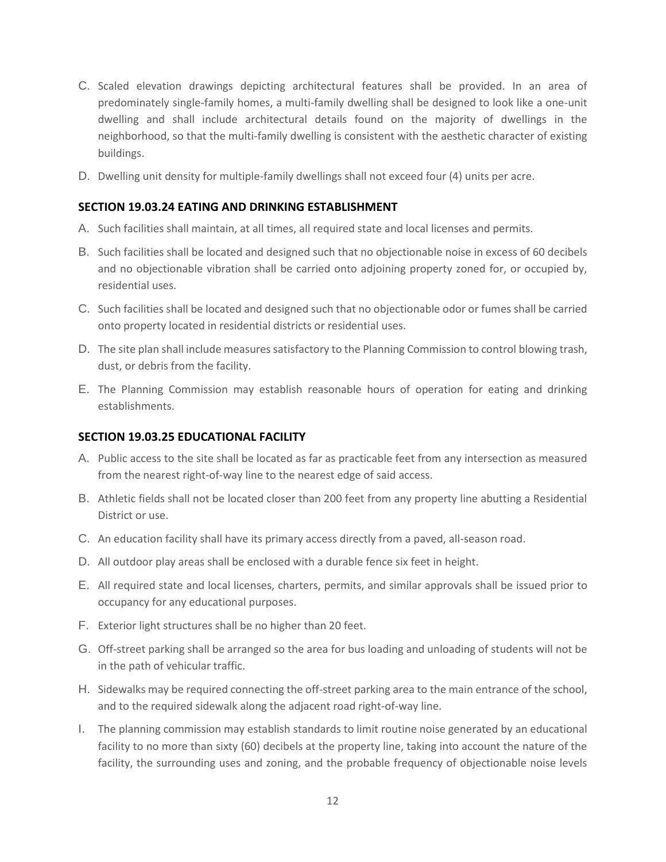- C. Scaled elevation drawings depicting architectural features shall be provided. In an area of predominately single-family homes, a multi-family dwelling shall be designed to look like a one-unit dwelling and shall include architectural details found on the majority of dwellings in the neighborhood, so that the multi-family dwelling is consistent with the aesthetic character of existing buildings.
- D. Dwelling unit density for multiple-family dwellings shall not exceed four (4) units per acre.

#### **SECTION 19.03.24 EATING AND DRINKING ESTABLISHMENT**

- A. Such facilities shall maintain, at all times, all required state and local licenses and permits.
- B. Such facilities shall be located and designed such that no objectionable noise in excess of 60 decibels and no objectionable vibration shall be carried onto adjoining property zoned for, or occupied by, residential uses.
- C. Such facilities shall be located and designed such that no objectionable odor or fumes shall be carried onto property located in residential districts or residential uses.
- D. The site plan shall include measures satisfactory to the Planning Commission to control blowing trash, dust, or debris from the facility.
- E. The Planning Commission may establish reasonable hours of operation for eating and drinking establishments.

## **SECTION 19.03.25 EDUCATIONAL FACILITY**

- A. Public access to the site shall be located as far as practicable feet from any intersection as measured from the nearest right-of-way line to the nearest edge of said access.
- B. Athletic fields shall not be located closer than 200 feet from any property line abutting a Residential District or use.
- C. An education facility shall have its primary access directly from a paved, all-season road.
- D. All outdoor play areas shall be enclosed with a durable fence six feet in height.
- E. All required state and local licenses, charters, permits, and similar approvals shall be issued prior to occupancy for any educational purposes.
- F. Exterior light structures shall be no higher than 20 feet.
- G. Off-street parking shall be arranged so the area for bus loading and unloading of students will not be in the path of vehicular traffic.
- H. Sidewalks may be required connecting the off-street parking area to the main entrance of the school, and to the required sidewalk along the adjacent road right-of-way line.
- I. The planning commission may establish standards to limit routine noise generated by an educational facility to no more than sixty (60) decibels at the property line, taking into account the nature of the facility, the surrounding uses and zoning, and the probable frequency of objectionable noise levels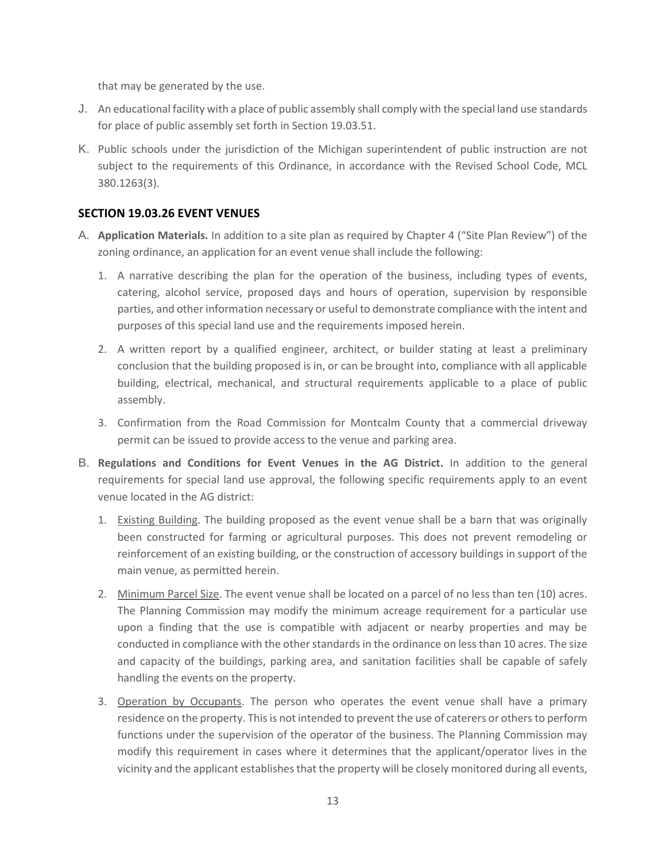that may be generated by the use.

- J. An educational facility with a place of public assembly shall comply with the special land use standards for place of public assembly set forth in Section 19.03.51.
- K. Public schools under the jurisdiction of the Michigan superintendent of public instruction are not subject to the requirements of this Ordinance, in accordance with the Revised School Code, MCL 380.1263(3).

## **SECTION 19.03.26 EVENT VENUES**

- A. **Application Materials.** In addition to a site plan as required by Chapter 4 ("Site Plan Review") of the zoning ordinance, an application for an event venue shall include the following:
	- 1. A narrative describing the plan for the operation of the business, including types of events, catering, alcohol service, proposed days and hours of operation, supervision by responsible parties, and other information necessary or useful to demonstrate compliance with the intent and purposes of this special land use and the requirements imposed herein.
	- 2. A written report by a qualified engineer, architect, or builder stating at least a preliminary conclusion that the building proposed is in, or can be brought into, compliance with all applicable building, electrical, mechanical, and structural requirements applicable to a place of public assembly.
	- 3. Confirmation from the Road Commission for Montcalm County that a commercial driveway permit can be issued to provide access to the venue and parking area.
- B. **Regulations and Conditions for Event Venues in the AG District.** In addition to the general requirements for special land use approval, the following specific requirements apply to an event venue located in the AG district:
	- 1. Existing Building. The building proposed as the event venue shall be a barn that was originally been constructed for farming or agricultural purposes. This does not prevent remodeling or reinforcement of an existing building, or the construction of accessory buildings in support of the main venue, as permitted herein.
	- 2. Minimum Parcel Size. The event venue shall be located on a parcel of no less than ten (10) acres. The Planning Commission may modify the minimum acreage requirement for a particular use upon a finding that the use is compatible with adjacent or nearby properties and may be conducted in compliance with the other standards in the ordinance on less than 10 acres. The size and capacity of the buildings, parking area, and sanitation facilities shall be capable of safely handling the events on the property.
	- 3. Operation by Occupants. The person who operates the event venue shall have a primary residence on the property. This is not intended to prevent the use of caterers or others to perform functions under the supervision of the operator of the business. The Planning Commission may modify this requirement in cases where it determines that the applicant/operator lives in the vicinity and the applicant establishes that the property will be closely monitored during all events,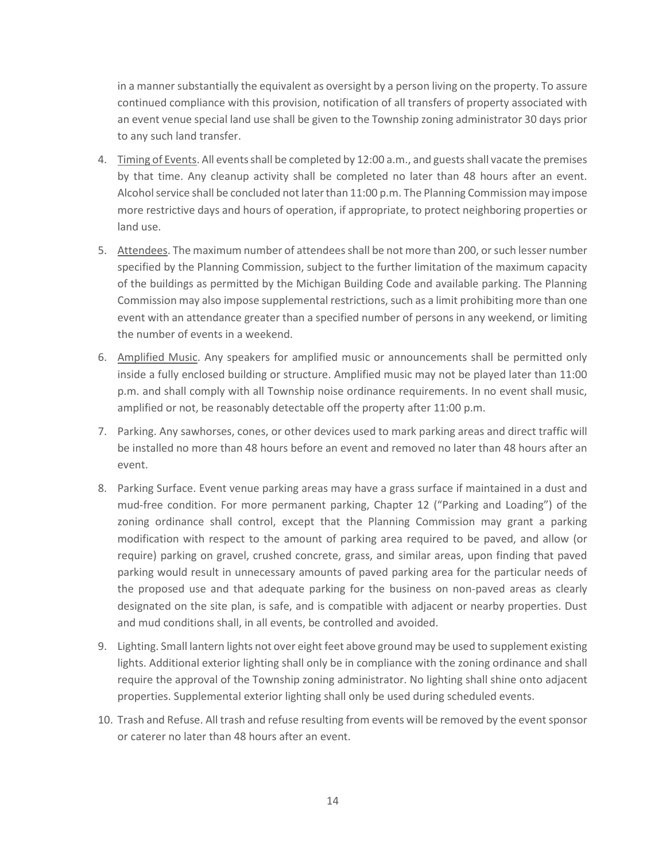in a manner substantially the equivalent as oversight by a person living on the property. To assure continued compliance with this provision, notification of all transfers of property associated with an event venue special land use shall be given to the Township zoning administrator 30 days prior to any such land transfer.

- 4. Timing of Events. All events shall be completed by 12:00 a.m., and guests shall vacate the premises by that time. Any cleanup activity shall be completed no later than 48 hours after an event. Alcohol service shall be concluded not later than 11:00 p.m. The Planning Commission may impose more restrictive days and hours of operation, if appropriate, to protect neighboring properties or land use.
- 5. Attendees. The maximum number of attendees shall be not more than 200, or such lesser number specified by the Planning Commission, subject to the further limitation of the maximum capacity of the buildings as permitted by the Michigan Building Code and available parking. The Planning Commission may also impose supplemental restrictions, such as a limit prohibiting more than one event with an attendance greater than a specified number of persons in any weekend, or limiting the number of events in a weekend.
- 6. Amplified Music. Any speakers for amplified music or announcements shall be permitted only inside a fully enclosed building or structure. Amplified music may not be played later than 11:00 p.m. and shall comply with all Township noise ordinance requirements. In no event shall music, amplified or not, be reasonably detectable off the property after 11:00 p.m.
- 7. Parking. Any sawhorses, cones, or other devices used to mark parking areas and direct traffic will be installed no more than 48 hours before an event and removed no later than 48 hours after an event.
- 8. Parking Surface. Event venue parking areas may have a grass surface if maintained in a dust and mud-free condition. For more permanent parking, Chapter 12 ("Parking and Loading") of the zoning ordinance shall control, except that the Planning Commission may grant a parking modification with respect to the amount of parking area required to be paved, and allow (or require) parking on gravel, crushed concrete, grass, and similar areas, upon finding that paved parking would result in unnecessary amounts of paved parking area for the particular needs of the proposed use and that adequate parking for the business on non-paved areas as clearly designated on the site plan, is safe, and is compatible with adjacent or nearby properties. Dust and mud conditions shall, in all events, be controlled and avoided.
- 9. Lighting. Small lantern lights not over eight feet above ground may be used to supplement existing lights. Additional exterior lighting shall only be in compliance with the zoning ordinance and shall require the approval of the Township zoning administrator. No lighting shall shine onto adjacent properties. Supplemental exterior lighting shall only be used during scheduled events.
- 10. Trash and Refuse. All trash and refuse resulting from events will be removed by the event sponsor or caterer no later than 48 hours after an event.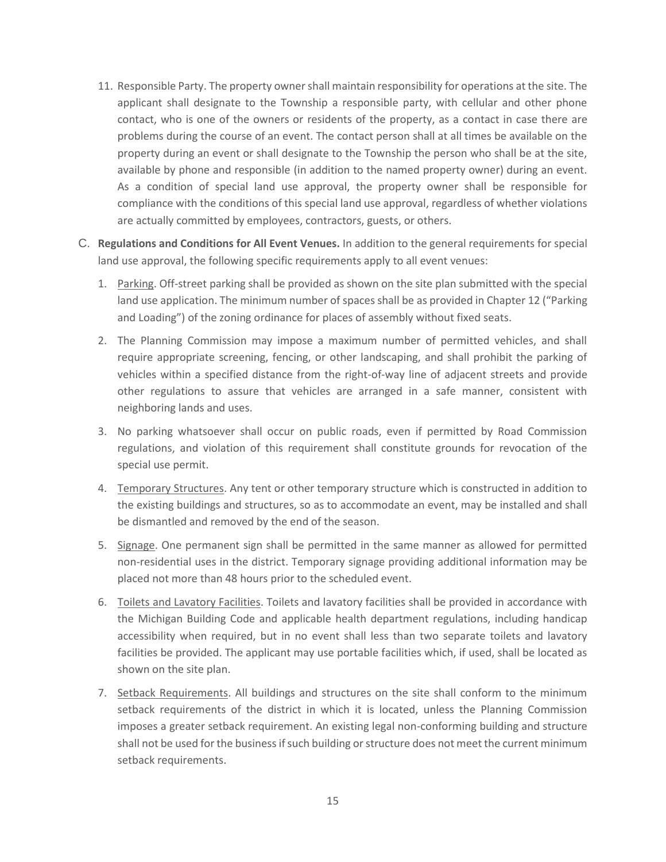- 11. Responsible Party. The property owner shall maintain responsibility for operations at the site. The applicant shall designate to the Township a responsible party, with cellular and other phone contact, who is one of the owners or residents of the property, as a contact in case there are problems during the course of an event. The contact person shall at all times be available on the property during an event or shall designate to the Township the person who shall be at the site, available by phone and responsible (in addition to the named property owner) during an event. As a condition of special land use approval, the property owner shall be responsible for compliance with the conditions of this special land use approval, regardless of whether violations are actually committed by employees, contractors, guests, or others.
- C. **Regulations and Conditions for All Event Venues.** In addition to the general requirements for special land use approval, the following specific requirements apply to all event venues:
	- 1. Parking. Off-street parking shall be provided as shown on the site plan submitted with the special land use application. The minimum number of spaces shall be as provided in Chapter 12 ("Parking and Loading") of the zoning ordinance for places of assembly without fixed seats.
	- 2. The Planning Commission may impose a maximum number of permitted vehicles, and shall require appropriate screening, fencing, or other landscaping, and shall prohibit the parking of vehicles within a specified distance from the right-of-way line of adjacent streets and provide other regulations to assure that vehicles are arranged in a safe manner, consistent with neighboring lands and uses.
	- 3. No parking whatsoever shall occur on public roads, even if permitted by Road Commission regulations, and violation of this requirement shall constitute grounds for revocation of the special use permit.
	- 4. Temporary Structures. Any tent or other temporary structure which is constructed in addition to the existing buildings and structures, so as to accommodate an event, may be installed and shall be dismantled and removed by the end of the season.
	- 5. Signage. One permanent sign shall be permitted in the same manner as allowed for permitted non-residential uses in the district. Temporary signage providing additional information may be placed not more than 48 hours prior to the scheduled event.
	- 6. Toilets and Lavatory Facilities. Toilets and lavatory facilities shall be provided in accordance with the Michigan Building Code and applicable health department regulations, including handicap accessibility when required, but in no event shall less than two separate toilets and lavatory facilities be provided. The applicant may use portable facilities which, if used, shall be located as shown on the site plan.
	- 7. Setback Requirements. All buildings and structures on the site shall conform to the minimum setback requirements of the district in which it is located, unless the Planning Commission imposes a greater setback requirement. An existing legal non-conforming building and structure shall not be used for the business if such building or structure does not meet the current minimum setback requirements.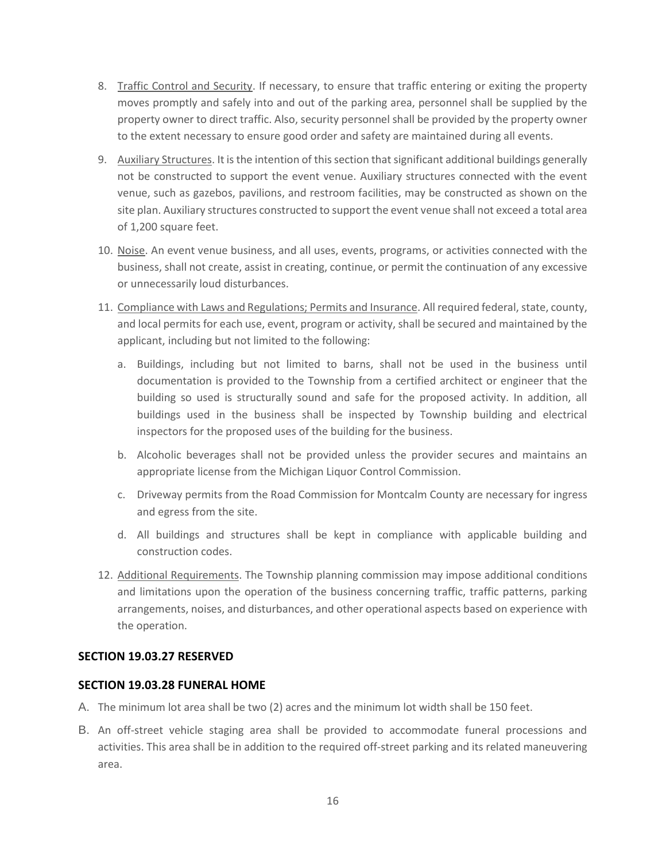- 8. Traffic Control and Security. If necessary, to ensure that traffic entering or exiting the property moves promptly and safely into and out of the parking area, personnel shall be supplied by the property owner to direct traffic. Also, security personnel shall be provided by the property owner to the extent necessary to ensure good order and safety are maintained during all events.
- 9. Auxiliary Structures. It is the intention of this section that significant additional buildings generally not be constructed to support the event venue. Auxiliary structures connected with the event venue, such as gazebos, pavilions, and restroom facilities, may be constructed as shown on the site plan. Auxiliary structures constructed to support the event venue shall not exceed a total area of 1,200 square feet.
- 10. Noise. An event venue business, and all uses, events, programs, or activities connected with the business, shall not create, assist in creating, continue, or permit the continuation of any excessive or unnecessarily loud disturbances.
- 11. Compliance with Laws and Regulations; Permits and Insurance. All required federal, state, county, and local permits for each use, event, program or activity, shall be secured and maintained by the applicant, including but not limited to the following:
	- a. Buildings, including but not limited to barns, shall not be used in the business until documentation is provided to the Township from a certified architect or engineer that the building so used is structurally sound and safe for the proposed activity. In addition, all buildings used in the business shall be inspected by Township building and electrical inspectors for the proposed uses of the building for the business.
	- b. Alcoholic beverages shall not be provided unless the provider secures and maintains an appropriate license from the Michigan Liquor Control Commission.
	- c. Driveway permits from the Road Commission for Montcalm County are necessary for ingress and egress from the site.
	- d. All buildings and structures shall be kept in compliance with applicable building and construction codes.
- 12. Additional Requirements. The Township planning commission may impose additional conditions and limitations upon the operation of the business concerning traffic, traffic patterns, parking arrangements, noises, and disturbances, and other operational aspects based on experience with the operation.

## **SECTION 19.03.27 RESERVED**

## **SECTION 19.03.28 FUNERAL HOME**

- A. The minimum lot area shall be two (2) acres and the minimum lot width shall be 150 feet.
- B. An off-street vehicle staging area shall be provided to accommodate funeral processions and activities. This area shall be in addition to the required off-street parking and its related maneuvering area.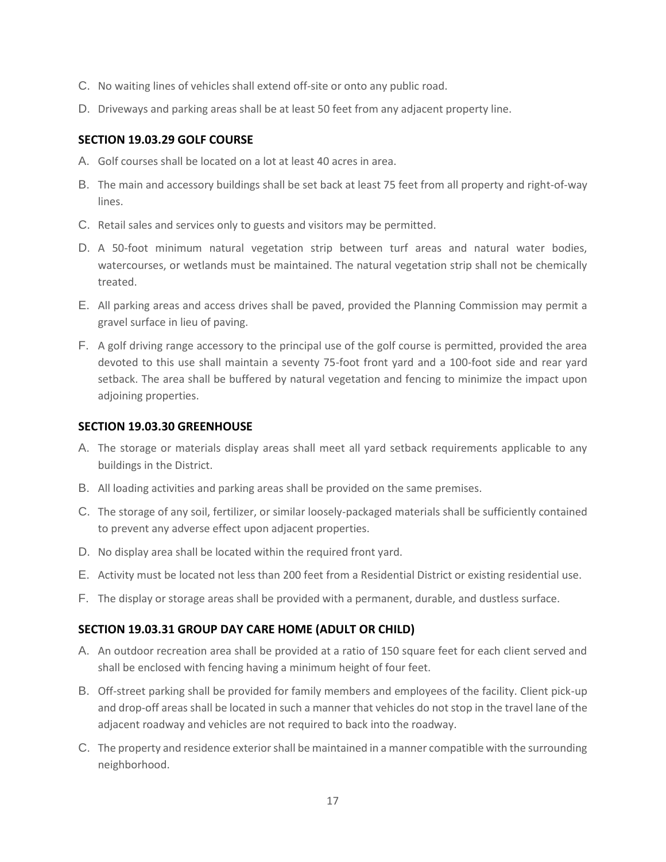- C. No waiting lines of vehicles shall extend off-site or onto any public road.
- D. Driveways and parking areas shall be at least 50 feet from any adjacent property line.

## **SECTION 19.03.29 GOLF COURSE**

- A. Golf courses shall be located on a lot at least 40 acres in area.
- B. The main and accessory buildings shall be set back at least 75 feet from all property and right-of-way lines.
- C. Retail sales and services only to guests and visitors may be permitted.
- D. A 50-foot minimum natural vegetation strip between turf areas and natural water bodies, watercourses, or wetlands must be maintained. The natural vegetation strip shall not be chemically treated.
- E. All parking areas and access drives shall be paved, provided the Planning Commission may permit a gravel surface in lieu of paving.
- F. A golf driving range accessory to the principal use of the golf course is permitted, provided the area devoted to this use shall maintain a seventy 75-foot front yard and a 100-foot side and rear yard setback. The area shall be buffered by natural vegetation and fencing to minimize the impact upon adjoining properties.

#### **SECTION 19.03.30 GREENHOUSE**

- A. The storage or materials display areas shall meet all yard setback requirements applicable to any buildings in the District.
- B. All loading activities and parking areas shall be provided on the same premises.
- C. The storage of any soil, fertilizer, or similar loosely-packaged materials shall be sufficiently contained to prevent any adverse effect upon adjacent properties.
- D. No display area shall be located within the required front yard.
- E. Activity must be located not less than 200 feet from a Residential District or existing residential use.
- F. The display or storage areas shall be provided with a permanent, durable, and dustless surface.

#### **SECTION 19.03.31 GROUP DAY CARE HOME (ADULT OR CHILD)**

- A. An outdoor recreation area shall be provided at a ratio of 150 square feet for each client served and shall be enclosed with fencing having a minimum height of four feet.
- B. Off-street parking shall be provided for family members and employees of the facility. Client pick-up and drop-off areas shall be located in such a manner that vehicles do not stop in the travel lane of the adjacent roadway and vehicles are not required to back into the roadway.
- C. The property and residence exterior shall be maintained in a manner compatible with the surrounding neighborhood.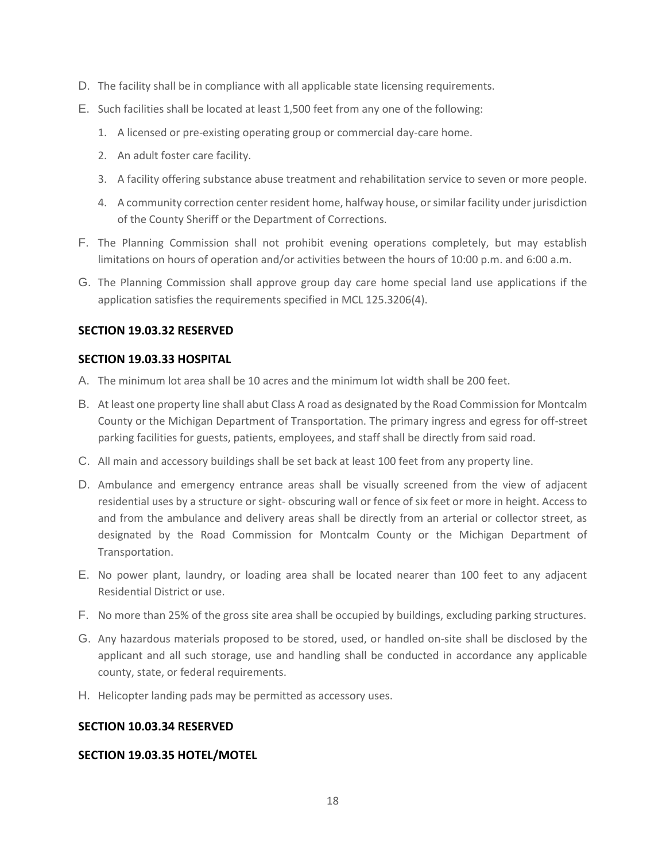- D. The facility shall be in compliance with all applicable state licensing requirements.
- E. Such facilities shall be located at least 1,500 feet from any one of the following:
	- 1. A licensed or pre-existing operating group or commercial day-care home.
	- 2. An adult foster care facility.
	- 3. A facility offering substance abuse treatment and rehabilitation service to seven or more people.
	- 4. A community correction center resident home, halfway house, or similar facility under jurisdiction of the County Sheriff or the Department of Corrections.
- F. The Planning Commission shall not prohibit evening operations completely, but may establish limitations on hours of operation and/or activities between the hours of 10:00 p.m. and 6:00 a.m.
- G. The Planning Commission shall approve group day care home special land use applications if the application satisfies the requirements specified in MCL 125.3206(4).

#### **SECTION 19.03.32 RESERVED**

#### **SECTION 19.03.33 HOSPITAL**

- A. The minimum lot area shall be 10 acres and the minimum lot width shall be 200 feet.
- B. At least one property line shall abut Class A road as designated by the Road Commission for Montcalm County or the Michigan Department of Transportation. The primary ingress and egress for off-street parking facilities for guests, patients, employees, and staff shall be directly from said road.
- C. All main and accessory buildings shall be set back at least 100 feet from any property line.
- D. Ambulance and emergency entrance areas shall be visually screened from the view of adjacent residential uses by a structure or sight- obscuring wall or fence of six feet or more in height. Access to and from the ambulance and delivery areas shall be directly from an arterial or collector street, as designated by the Road Commission for Montcalm County or the Michigan Department of Transportation.
- E. No power plant, laundry, or loading area shall be located nearer than 100 feet to any adjacent Residential District or use.
- F. No more than 25% of the gross site area shall be occupied by buildings, excluding parking structures.
- G. Any hazardous materials proposed to be stored, used, or handled on-site shall be disclosed by the applicant and all such storage, use and handling shall be conducted in accordance any applicable county, state, or federal requirements.
- H. Helicopter landing pads may be permitted as accessory uses.

#### **SECTION 10.03.34 RESERVED**

#### **SECTION 19.03.35 HOTEL/MOTEL**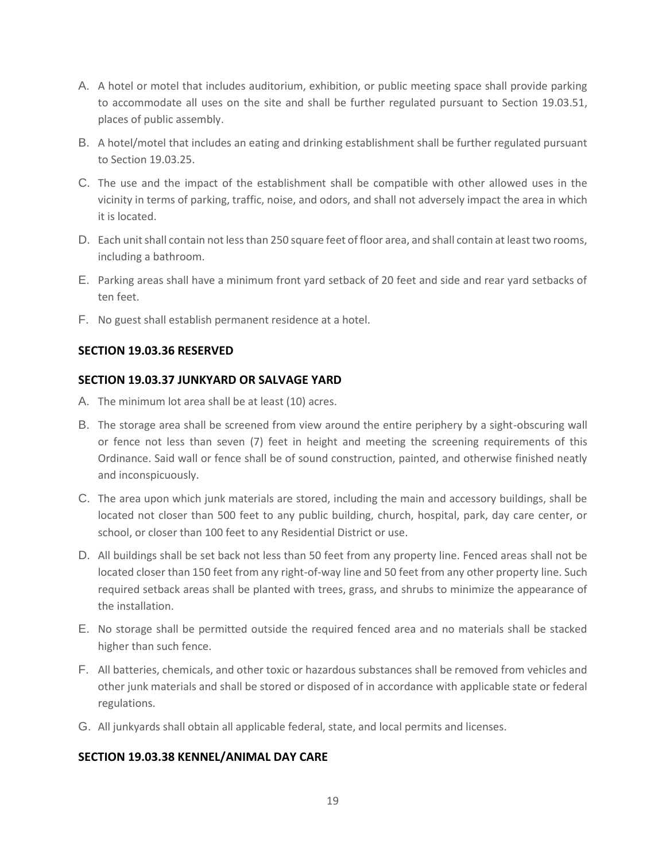- A. A hotel or motel that includes auditorium, exhibition, or public meeting space shall provide parking to accommodate all uses on the site and shall be further regulated pursuant to Section 19.03.51, places of public assembly.
- B. A hotel/motel that includes an eating and drinking establishment shall be further regulated pursuant to Section 19.03.25.
- C. The use and the impact of the establishment shall be compatible with other allowed uses in the vicinity in terms of parking, traffic, noise, and odors, and shall not adversely impact the area in which it is located.
- D. Each unit shall contain not less than 250 square feet of floor area, and shall contain at least two rooms, including a bathroom.
- E. Parking areas shall have a minimum front yard setback of 20 feet and side and rear yard setbacks of ten feet.
- F. No guest shall establish permanent residence at a hotel.

## **SECTION 19.03.36 RESERVED**

#### **SECTION 19.03.37 JUNKYARD OR SALVAGE YARD**

- A. The minimum lot area shall be at least (10) acres.
- B. The storage area shall be screened from view around the entire periphery by a sight-obscuring wall or fence not less than seven (7) feet in height and meeting the screening requirements of this Ordinance. Said wall or fence shall be of sound construction, painted, and otherwise finished neatly and inconspicuously.
- C. The area upon which junk materials are stored, including the main and accessory buildings, shall be located not closer than 500 feet to any public building, church, hospital, park, day care center, or school, or closer than 100 feet to any Residential District or use.
- D. All buildings shall be set back not less than 50 feet from any property line. Fenced areas shall not be located closer than 150 feet from any right-of-way line and 50 feet from any other property line. Such required setback areas shall be planted with trees, grass, and shrubs to minimize the appearance of the installation.
- E. No storage shall be permitted outside the required fenced area and no materials shall be stacked higher than such fence.
- F. All batteries, chemicals, and other toxic or hazardous substances shall be removed from vehicles and other junk materials and shall be stored or disposed of in accordance with applicable state or federal regulations.
- G. All junkyards shall obtain all applicable federal, state, and local permits and licenses.

## **SECTION 19.03.38 KENNEL/ANIMAL DAY CARE**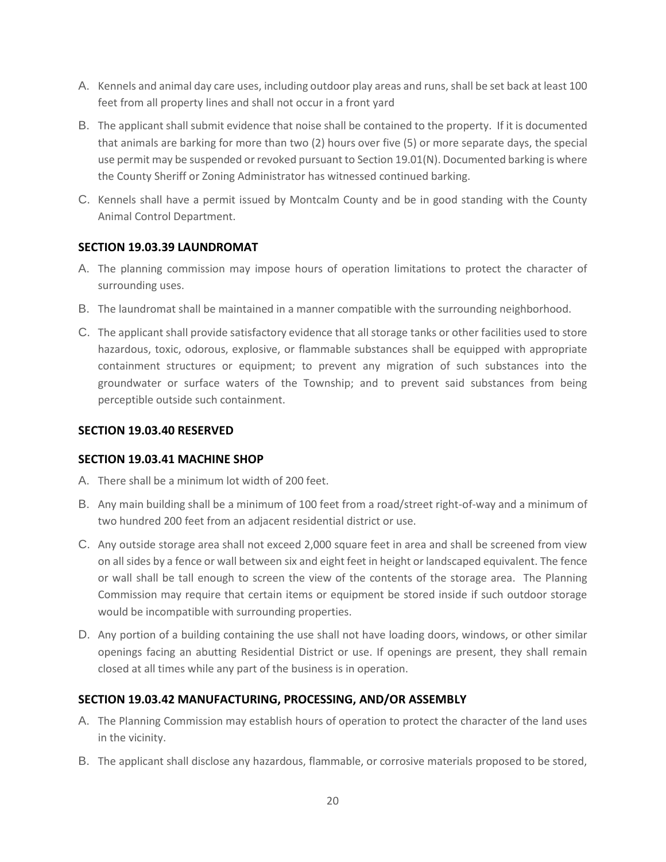- A. Kennels and animal day care uses, including outdoor play areas and runs, shall be set back at least 100 feet from all property lines and shall not occur in a front yard
- B. The applicant shall submit evidence that noise shall be contained to the property. If it is documented that animals are barking for more than two (2) hours over five (5) or more separate days, the special use permit may be suspended or revoked pursuant to Section 19.01(N). Documented barking is where the County Sheriff or Zoning Administrator has witnessed continued barking.
- C. Kennels shall have a permit issued by Montcalm County and be in good standing with the County Animal Control Department.

# **SECTION 19.03.39 LAUNDROMAT**

- A. The planning commission may impose hours of operation limitations to protect the character of surrounding uses.
- B. The laundromat shall be maintained in a manner compatible with the surrounding neighborhood.
- C. The applicant shall provide satisfactory evidence that all storage tanks or other facilities used to store hazardous, toxic, odorous, explosive, or flammable substances shall be equipped with appropriate containment structures or equipment; to prevent any migration of such substances into the groundwater or surface waters of the Township; and to prevent said substances from being perceptible outside such containment.

# **SECTION 19.03.40 RESERVED**

## **SECTION 19.03.41 MACHINE SHOP**

- A. There shall be a minimum lot width of 200 feet.
- B. Any main building shall be a minimum of 100 feet from a road/street right-of-way and a minimum of two hundred 200 feet from an adjacent residential district or use.
- C. Any outside storage area shall not exceed 2,000 square feet in area and shall be screened from view on all sides by a fence or wall between six and eight feet in height or landscaped equivalent. The fence or wall shall be tall enough to screen the view of the contents of the storage area. The Planning Commission may require that certain items or equipment be stored inside if such outdoor storage would be incompatible with surrounding properties.
- D. Any portion of a building containing the use shall not have loading doors, windows, or other similar openings facing an abutting Residential District or use. If openings are present, they shall remain closed at all times while any part of the business is in operation.

## **SECTION 19.03.42 MANUFACTURING, PROCESSING, AND/OR ASSEMBLY**

- A. The Planning Commission may establish hours of operation to protect the character of the land uses in the vicinity.
- B. The applicant shall disclose any hazardous, flammable, or corrosive materials proposed to be stored,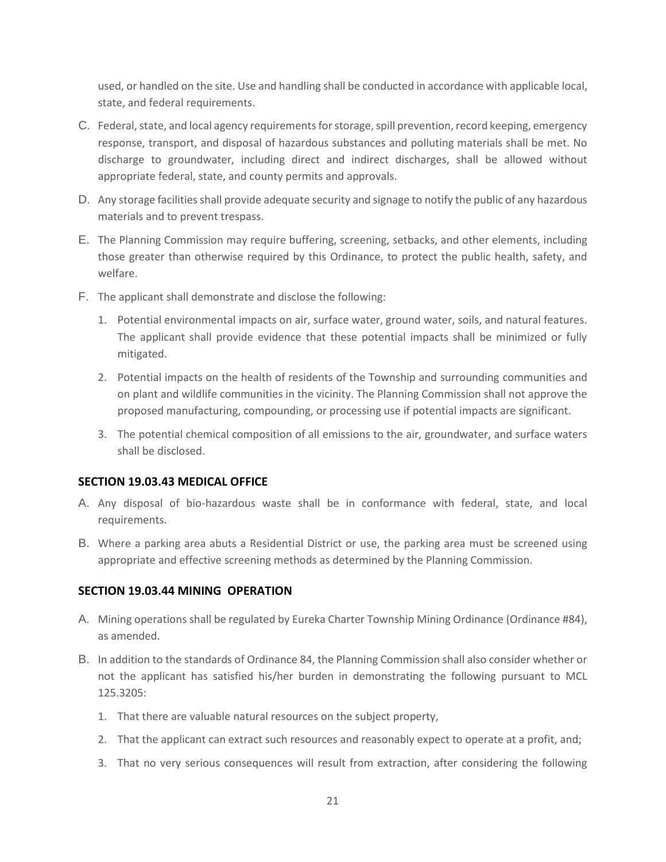used, or handled on the site. Use and handling shall be conducted in accordance with applicable local, state, and federal requirements.

- C. Federal, state, and local agency requirements for storage, spill prevention, record keeping, emergency response, transport, and disposal of hazardous substances and polluting materials shall be met. No discharge to groundwater, including direct and indirect discharges, shall be allowed without appropriate federal, state, and county permits and approvals.
- D. Any storage facilities shall provide adequate security and signage to notify the public of any hazardous materials and to prevent trespass.
- E. The Planning Commission may require buffering, screening, setbacks, and other elements, including those greater than otherwise required by this Ordinance, to protect the public health, safety, and welfare.
- F. The applicant shall demonstrate and disclose the following:
	- 1. Potential environmental impacts on air, surface water, ground water, soils, and natural features. The applicant shall provide evidence that these potential impacts shall be minimized or fully mitigated.
	- 2. Potential impacts on the health of residents of the Township and surrounding communities and on plant and wildlife communities in the vicinity. The Planning Commission shall not approve the proposed manufacturing, compounding, or processing use if potential impacts are significant.
	- 3. The potential chemical composition of all emissions to the air, groundwater, and surface waters shall be disclosed.

# **SECTION 19.03.43 MEDICAL OFFICE**

- A. Any disposal of bio-hazardous waste shall be in conformance with federal, state, and local requirements.
- B. Where a parking area abuts a Residential District or use, the parking area must be screened using appropriate and effective screening methods as determined by the Planning Commission.

## **SECTION 19.03.44 MINING OPERATION**

- A. Mining operations shall be regulated by Eureka Charter Township Mining Ordinance (Ordinance #84), as amended.
- B. In addition to the standards of Ordinance 84, the Planning Commission shall also consider whether or not the applicant has satisfied his/her burden in demonstrating the following pursuant to MCL 125.3205:
	- 1. That there are valuable natural resources on the subject property,
	- 2. That the applicant can extract such resources and reasonably expect to operate at a profit, and;
	- 3. That no very serious consequences will result from extraction, after considering the following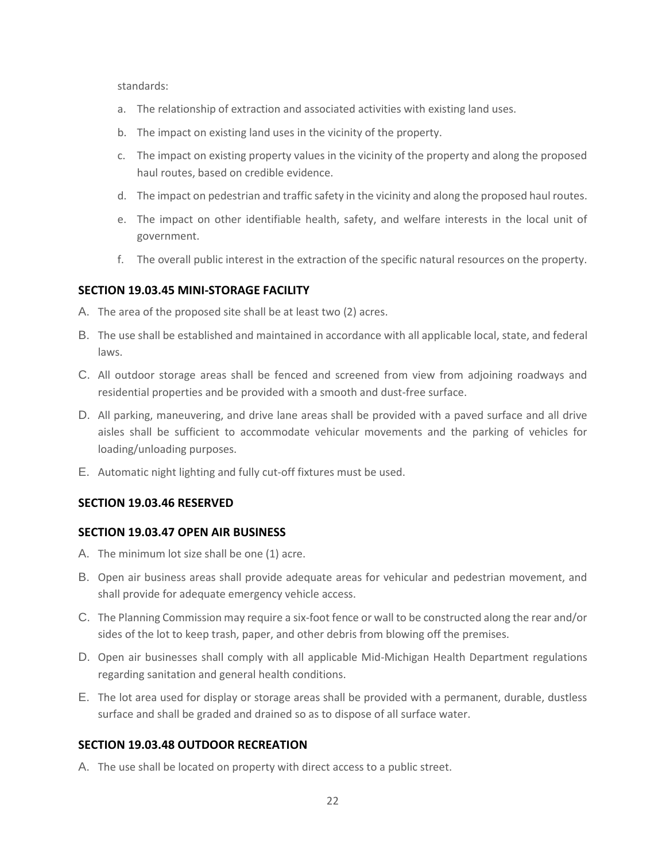standards:

- a. The relationship of extraction and associated activities with existing land uses.
- b. The impact on existing land uses in the vicinity of the property.
- c. The impact on existing property values in the vicinity of the property and along the proposed haul routes, based on credible evidence.
- d. The impact on pedestrian and traffic safety in the vicinity and along the proposed haul routes.
- e. The impact on other identifiable health, safety, and welfare interests in the local unit of government.
- f. The overall public interest in the extraction of the specific natural resources on the property.

#### **SECTION 19.03.45 MINI-STORAGE FACILITY**

- A. The area of the proposed site shall be at least two (2) acres.
- B. The use shall be established and maintained in accordance with all applicable local, state, and federal laws.
- C. All outdoor storage areas shall be fenced and screened from view from adjoining roadways and residential properties and be provided with a smooth and dust-free surface.
- D. All parking, maneuvering, and drive lane areas shall be provided with a paved surface and all drive aisles shall be sufficient to accommodate vehicular movements and the parking of vehicles for loading/unloading purposes.
- E. Automatic night lighting and fully cut-off fixtures must be used.

#### **SECTION 19.03.46 RESERVED**

#### **SECTION 19.03.47 OPEN AIR BUSINESS**

- A. The minimum lot size shall be one (1) acre.
- B. Open air business areas shall provide adequate areas for vehicular and pedestrian movement, and shall provide for adequate emergency vehicle access.
- C. The Planning Commission may require a six-foot fence or wall to be constructed along the rear and/or sides of the lot to keep trash, paper, and other debris from blowing off the premises.
- D. Open air businesses shall comply with all applicable Mid-Michigan Health Department regulations regarding sanitation and general health conditions.
- E. The lot area used for display or storage areas shall be provided with a permanent, durable, dustless surface and shall be graded and drained so as to dispose of all surface water.

#### **SECTION 19.03.48 OUTDOOR RECREATION**

A. The use shall be located on property with direct access to a public street.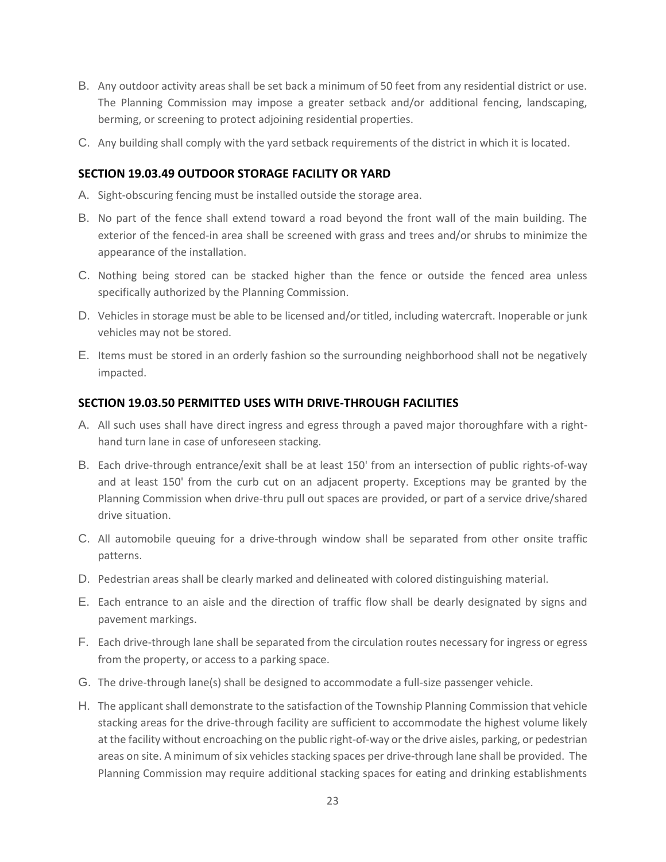- B. Any outdoor activity areas shall be set back a minimum of 50 feet from any residential district or use. The Planning Commission may impose a greater setback and/or additional fencing, landscaping, berming, or screening to protect adjoining residential properties.
- C. Any building shall comply with the yard setback requirements of the district in which it is located.

## **SECTION 19.03.49 OUTDOOR STORAGE FACILITY OR YARD**

- A. Sight-obscuring fencing must be installed outside the storage area.
- B. No part of the fence shall extend toward a road beyond the front wall of the main building. The exterior of the fenced-in area shall be screened with grass and trees and/or shrubs to minimize the appearance of the installation.
- C. Nothing being stored can be stacked higher than the fence or outside the fenced area unless specifically authorized by the Planning Commission.
- D. Vehicles in storage must be able to be licensed and/or titled, including watercraft. Inoperable or junk vehicles may not be stored.
- E. Items must be stored in an orderly fashion so the surrounding neighborhood shall not be negatively impacted.

#### **SECTION 19.03.50 PERMITTED USES WITH DRIVE-THROUGH FACILITIES**

- A. All such uses shall have direct ingress and egress through a paved major thoroughfare with a righthand turn lane in case of unforeseen stacking.
- B. Each drive-through entrance/exit shall be at least 150' from an intersection of public rights-of-way and at least 150' from the curb cut on an adjacent property. Exceptions may be granted by the Planning Commission when drive-thru pull out spaces are provided, or part of a service drive/shared drive situation.
- C. All automobile queuing for a drive-through window shall be separated from other onsite traffic patterns.
- D. Pedestrian areas shall be clearly marked and delineated with colored distinguishing material.
- E. Each entrance to an aisle and the direction of traffic flow shall be dearly designated by signs and pavement markings.
- F. Each drive-through lane shall be separated from the circulation routes necessary for ingress or egress from the property, or access to a parking space.
- G. The drive-through lane(s) shall be designed to accommodate a full-size passenger vehicle.
- H. The applicant shall demonstrate to the satisfaction of the Township Planning Commission that vehicle stacking areas for the drive-through facility are sufficient to accommodate the highest volume likely at the facility without encroaching on the public right-of-way or the drive aisles, parking, or pedestrian areas on site. A minimum of six vehicles stacking spaces per drive-through lane shall be provided. The Planning Commission may require additional stacking spaces for eating and drinking establishments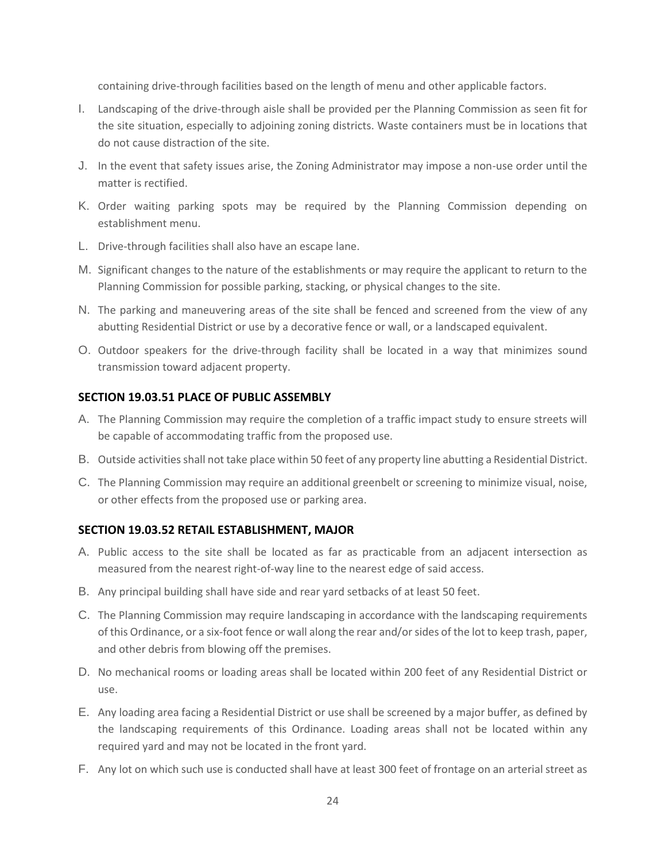containing drive-through facilities based on the length of menu and other applicable factors.

- I. Landscaping of the drive-through aisle shall be provided per the Planning Commission as seen fit for the site situation, especially to adjoining zoning districts. Waste containers must be in locations that do not cause distraction of the site.
- J. In the event that safety issues arise, the Zoning Administrator may impose a non-use order until the matter is rectified.
- K. Order waiting parking spots may be required by the Planning Commission depending on establishment menu.
- L. Drive-through facilities shall also have an escape lane.
- M. Significant changes to the nature of the establishments or may require the applicant to return to the Planning Commission for possible parking, stacking, or physical changes to the site.
- N. The parking and maneuvering areas of the site shall be fenced and screened from the view of any abutting Residential District or use by a decorative fence or wall, or a landscaped equivalent.
- O. Outdoor speakers for the drive-through facility shall be located in a way that minimizes sound transmission toward adjacent property.

# **SECTION 19.03.51 PLACE OF PUBLIC ASSEMBLY**

- A. The Planning Commission may require the completion of a traffic impact study to ensure streets will be capable of accommodating traffic from the proposed use.
- B. Outside activities shall not take place within 50 feet of any property line abutting a Residential District.
- C. The Planning Commission may require an additional greenbelt or screening to minimize visual, noise, or other effects from the proposed use or parking area.

## **SECTION 19.03.52 RETAIL ESTABLISHMENT, MAJOR**

- A. Public access to the site shall be located as far as practicable from an adjacent intersection as measured from the nearest right-of-way line to the nearest edge of said access.
- B. Any principal building shall have side and rear yard setbacks of at least 50 feet.
- C. The Planning Commission may require landscaping in accordance with the landscaping requirements of this Ordinance, or a six-foot fence or wall along the rear and/or sides of the lot to keep trash, paper, and other debris from blowing off the premises.
- D. No mechanical rooms or loading areas shall be located within 200 feet of any Residential District or use.
- E. Any loading area facing a Residential District or use shall be screened by a major buffer, as defined by the landscaping requirements of this Ordinance. Loading areas shall not be located within any required yard and may not be located in the front yard.
- F. Any lot on which such use is conducted shall have at least 300 feet of frontage on an arterial street as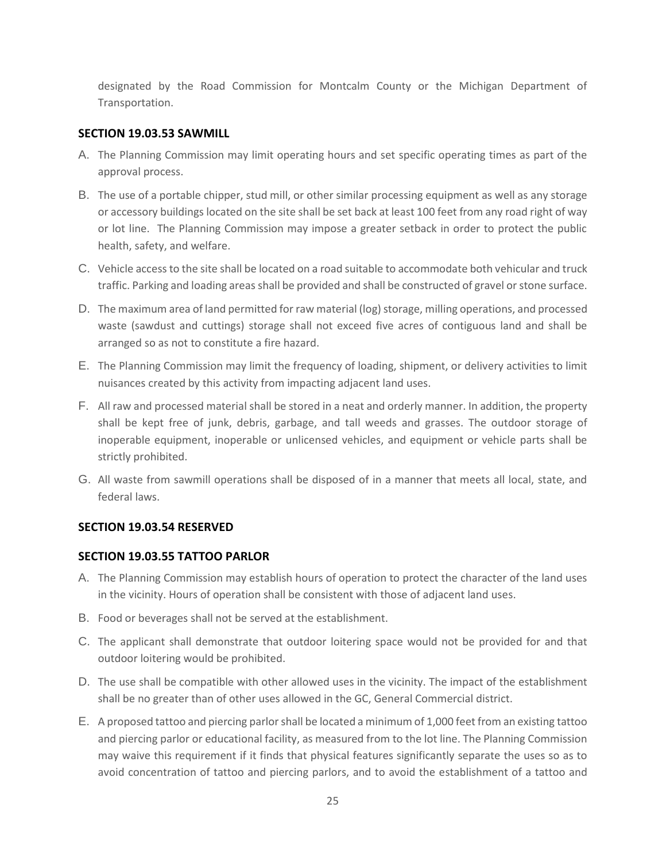designated by the Road Commission for Montcalm County or the Michigan Department of Transportation.

## **SECTION 19.03.53 SAWMILL**

- A. The Planning Commission may limit operating hours and set specific operating times as part of the approval process.
- B. The use of a portable chipper, stud mill, or other similar processing equipment as well as any storage or accessory buildings located on the site shall be set back at least 100 feet from any road right of way or lot line. The Planning Commission may impose a greater setback in order to protect the public health, safety, and welfare.
- C. Vehicle access to the site shall be located on a road suitable to accommodate both vehicular and truck traffic. Parking and loading areas shall be provided and shall be constructed of gravel or stone surface.
- D. The maximum area of land permitted for raw material (log) storage, milling operations, and processed waste (sawdust and cuttings) storage shall not exceed five acres of contiguous land and shall be arranged so as not to constitute a fire hazard.
- E. The Planning Commission may limit the frequency of loading, shipment, or delivery activities to limit nuisances created by this activity from impacting adjacent land uses.
- F. All raw and processed material shall be stored in a neat and orderly manner. In addition, the property shall be kept free of junk, debris, garbage, and tall weeds and grasses. The outdoor storage of inoperable equipment, inoperable or unlicensed vehicles, and equipment or vehicle parts shall be strictly prohibited.
- G. All waste from sawmill operations shall be disposed of in a manner that meets all local, state, and federal laws.

## **SECTION 19.03.54 RESERVED**

## **SECTION 19.03.55 TATTOO PARLOR**

- A. The Planning Commission may establish hours of operation to protect the character of the land uses in the vicinity. Hours of operation shall be consistent with those of adjacent land uses.
- B. Food or beverages shall not be served at the establishment.
- C. The applicant shall demonstrate that outdoor loitering space would not be provided for and that outdoor loitering would be prohibited.
- D. The use shall be compatible with other allowed uses in the vicinity. The impact of the establishment shall be no greater than of other uses allowed in the GC, General Commercial district.
- E. A proposed tattoo and piercing parlor shall be located a minimum of 1,000 feet from an existing tattoo and piercing parlor or educational facility, as measured from to the lot line. The Planning Commission may waive this requirement if it finds that physical features significantly separate the uses so as to avoid concentration of tattoo and piercing parlors, and to avoid the establishment of a tattoo and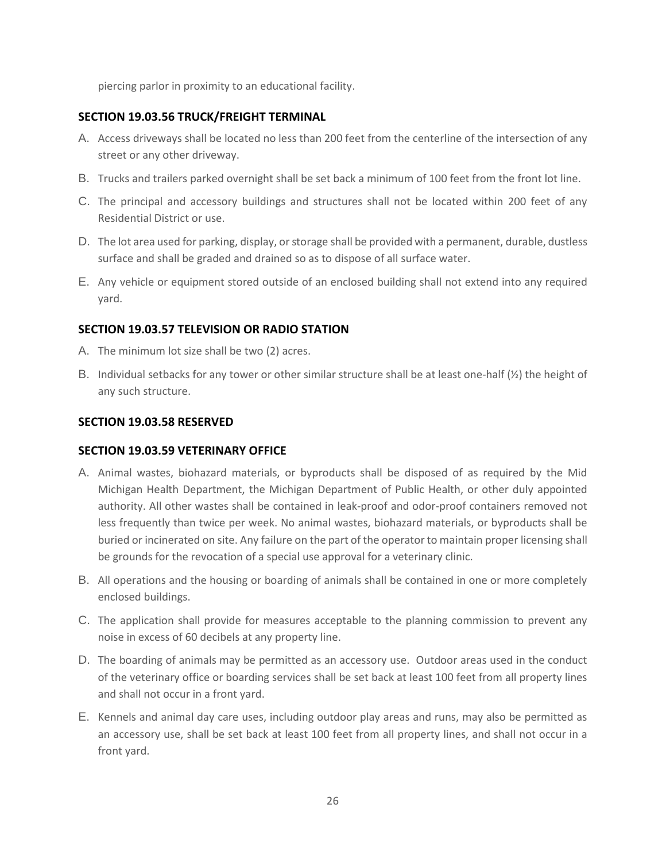piercing parlor in proximity to an educational facility.

# **SECTION 19.03.56 TRUCK/FREIGHT TERMINAL**

- A. Access driveways shall be located no less than 200 feet from the centerline of the intersection of any street or any other driveway.
- B. Trucks and trailers parked overnight shall be set back a minimum of 100 feet from the front lot line.
- C. The principal and accessory buildings and structures shall not be located within 200 feet of any Residential District or use.
- D. The lot area used for parking, display, or storage shall be provided with a permanent, durable, dustless surface and shall be graded and drained so as to dispose of all surface water.
- E. Any vehicle or equipment stored outside of an enclosed building shall not extend into any required yard.

# **SECTION 19.03.57 TELEVISION OR RADIO STATION**

- A. The minimum lot size shall be two (2) acres.
- B. Individual setbacks for any tower or other similar structure shall be at least one-half  $(\frac{1}{2})$  the height of any such structure.

#### **SECTION 19.03.58 RESERVED**

## **SECTION 19.03.59 VETERINARY OFFICE**

- A. Animal wastes, biohazard materials, or byproducts shall be disposed of as required by the Mid Michigan Health Department, the Michigan Department of Public Health, or other duly appointed authority. All other wastes shall be contained in leak-proof and odor-proof containers removed not less frequently than twice per week. No animal wastes, biohazard materials, or byproducts shall be buried or incinerated on site. Any failure on the part of the operator to maintain proper licensing shall be grounds for the revocation of a special use approval for a veterinary clinic.
- B. All operations and the housing or boarding of animals shall be contained in one or more completely enclosed buildings.
- C. The application shall provide for measures acceptable to the planning commission to prevent any noise in excess of 60 decibels at any property line.
- D. The boarding of animals may be permitted as an accessory use. Outdoor areas used in the conduct of the veterinary office or boarding services shall be set back at least 100 feet from all property lines and shall not occur in a front yard.
- E. Kennels and animal day care uses, including outdoor play areas and runs, may also be permitted as an accessory use, shall be set back at least 100 feet from all property lines, and shall not occur in a front yard.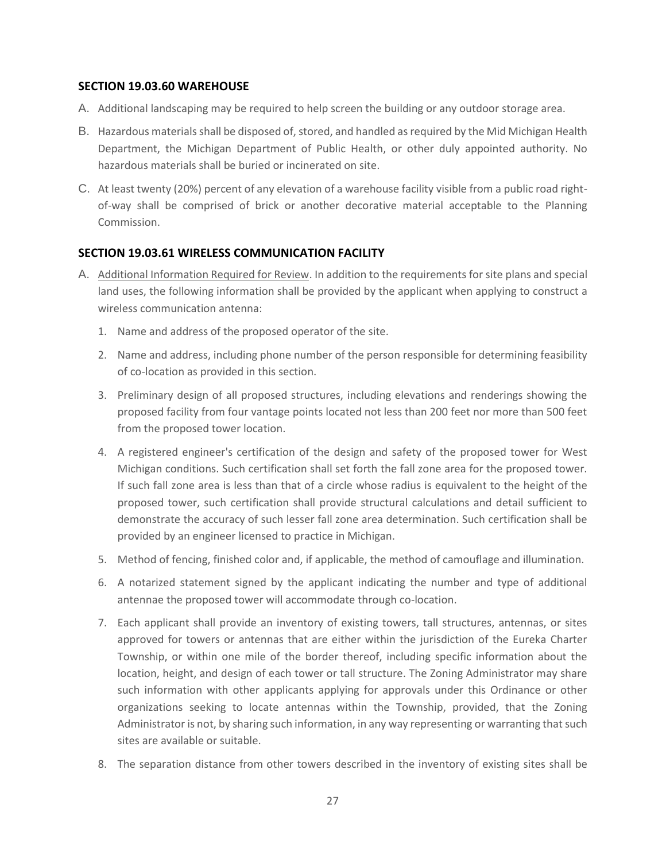## **SECTION 19.03.60 WAREHOUSE**

- A. Additional landscaping may be required to help screen the building or any outdoor storage area.
- B. Hazardous materials shall be disposed of, stored, and handled as required by the Mid Michigan Health Department, the Michigan Department of Public Health, or other duly appointed authority. No hazardous materials shall be buried or incinerated on site.
- C. At least twenty (20%) percent of any elevation of a warehouse facility visible from a public road rightof-way shall be comprised of brick or another decorative material acceptable to the Planning Commission.

#### **SECTION 19.03.61 WIRELESS COMMUNICATION FACILITY**

- A. Additional Information Required for Review. In addition to the requirements for site plans and special land uses, the following information shall be provided by the applicant when applying to construct a wireless communication antenna:
	- 1. Name and address of the proposed operator of the site.
	- 2. Name and address, including phone number of the person responsible for determining feasibility of co-location as provided in this section.
	- 3. Preliminary design of all proposed structures, including elevations and renderings showing the proposed facility from four vantage points located not less than 200 feet nor more than 500 feet from the proposed tower location.
	- 4. A registered engineer's certification of the design and safety of the proposed tower for West Michigan conditions. Such certification shall set forth the fall zone area for the proposed tower. If such fall zone area is less than that of a circle whose radius is equivalent to the height of the proposed tower, such certification shall provide structural calculations and detail sufficient to demonstrate the accuracy of such lesser fall zone area determination. Such certification shall be provided by an engineer licensed to practice in Michigan.
	- 5. Method of fencing, finished color and, if applicable, the method of camouflage and illumination.
	- 6. A notarized statement signed by the applicant indicating the number and type of additional antennae the proposed tower will accommodate through co-location.
	- 7. Each applicant shall provide an inventory of existing towers, tall structures, antennas, or sites approved for towers or antennas that are either within the jurisdiction of the Eureka Charter Township, or within one mile of the border thereof, including specific information about the location, height, and design of each tower or tall structure. The Zoning Administrator may share such information with other applicants applying for approvals under this Ordinance or other organizations seeking to locate antennas within the Township, provided, that the Zoning Administrator is not, by sharing such information, in any way representing or warranting that such sites are available or suitable.
	- 8. The separation distance from other towers described in the inventory of existing sites shall be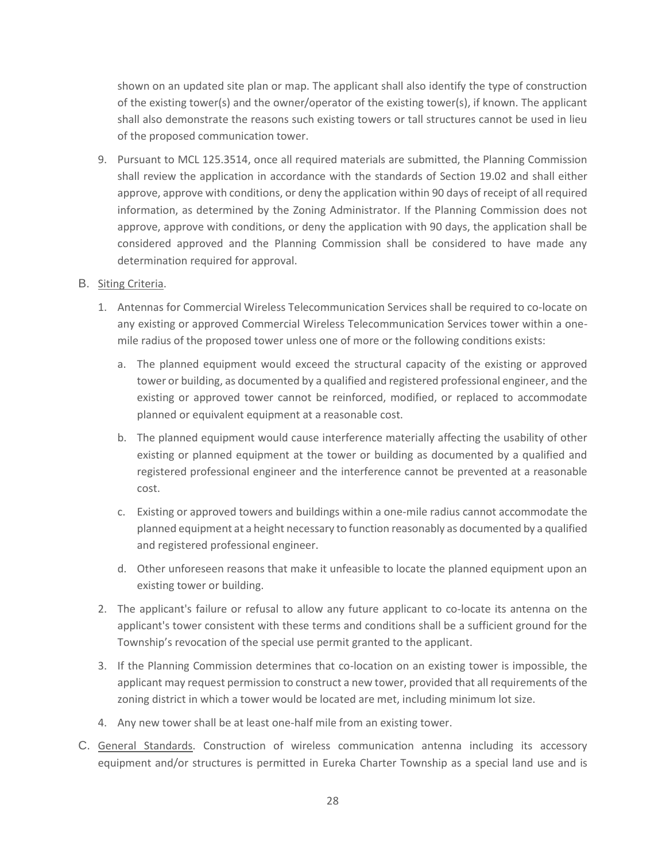shown on an updated site plan or map. The applicant shall also identify the type of construction of the existing tower(s) and the owner/operator of the existing tower(s), if known. The applicant shall also demonstrate the reasons such existing towers or tall structures cannot be used in lieu of the proposed communication tower.

9. Pursuant to MCL 125.3514, once all required materials are submitted, the Planning Commission shall review the application in accordance with the standards of Section 19.02 and shall either approve, approve with conditions, or deny the application within 90 days of receipt of all required information, as determined by the Zoning Administrator. If the Planning Commission does not approve, approve with conditions, or deny the application with 90 days, the application shall be considered approved and the Planning Commission shall be considered to have made any determination required for approval.

#### B. Siting Criteria.

- 1. Antennas for Commercial Wireless Telecommunication Services shall be required to co-locate on any existing or approved Commercial Wireless Telecommunication Services tower within a onemile radius of the proposed tower unless one of more or the following conditions exists:
	- a. The planned equipment would exceed the structural capacity of the existing or approved tower or building, as documented by a qualified and registered professional engineer, and the existing or approved tower cannot be reinforced, modified, or replaced to accommodate planned or equivalent equipment at a reasonable cost.
	- b. The planned equipment would cause interference materially affecting the usability of other existing or planned equipment at the tower or building as documented by a qualified and registered professional engineer and the interference cannot be prevented at a reasonable cost.
	- c. Existing or approved towers and buildings within a one-mile radius cannot accommodate the planned equipment at a height necessary to function reasonably as documented by a qualified and registered professional engineer.
	- d. Other unforeseen reasons that make it unfeasible to locate the planned equipment upon an existing tower or building.
- 2. The applicant's failure or refusal to allow any future applicant to co-locate its antenna on the applicant's tower consistent with these terms and conditions shall be a sufficient ground for the Township's revocation of the special use permit granted to the applicant.
- 3. If the Planning Commission determines that co-location on an existing tower is impossible, the applicant may request permission to construct a new tower, provided that all requirements of the zoning district in which a tower would be located are met, including minimum lot size.
- 4. Any new tower shall be at least one-half mile from an existing tower.
- C. General Standards. Construction of wireless communication antenna including its accessory equipment and/or structures is permitted in Eureka Charter Township as a special land use and is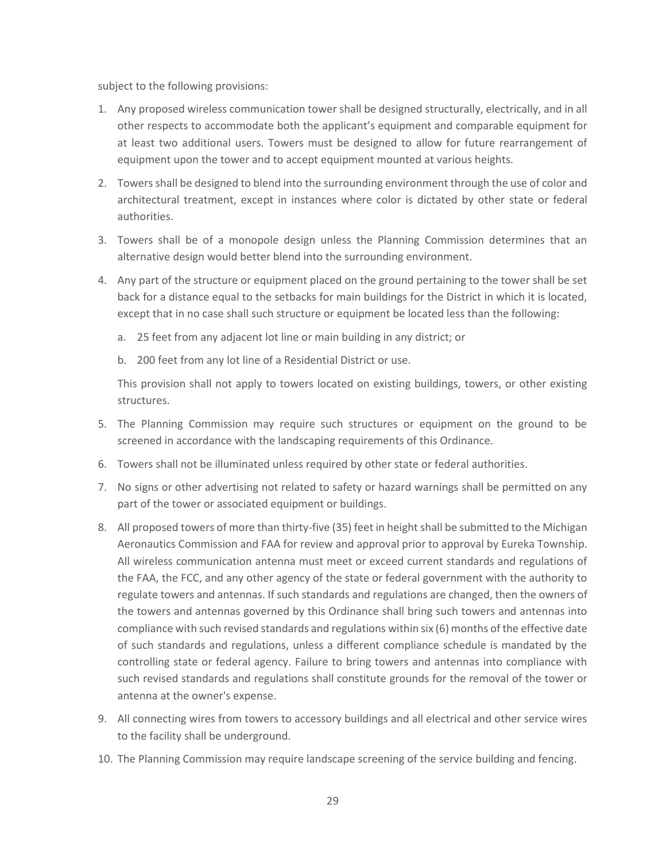subject to the following provisions:

- 1. Any proposed wireless communication tower shall be designed structurally, electrically, and in all other respects to accommodate both the applicant's equipment and comparable equipment for at least two additional users. Towers must be designed to allow for future rearrangement of equipment upon the tower and to accept equipment mounted at various heights.
- 2. Towers shall be designed to blend into the surrounding environment through the use of color and architectural treatment, except in instances where color is dictated by other state or federal authorities.
- 3. Towers shall be of a monopole design unless the Planning Commission determines that an alternative design would better blend into the surrounding environment.
- 4. Any part of the structure or equipment placed on the ground pertaining to the tower shall be set back for a distance equal to the setbacks for main buildings for the District in which it is located, except that in no case shall such structure or equipment be located less than the following:
	- a. 25 feet from any adjacent lot line or main building in any district; or
	- b. 200 feet from any lot line of a Residential District or use.

This provision shall not apply to towers located on existing buildings, towers, or other existing structures.

- 5. The Planning Commission may require such structures or equipment on the ground to be screened in accordance with the landscaping requirements of this Ordinance.
- 6. Towers shall not be illuminated unless required by other state or federal authorities.
- 7. No signs or other advertising not related to safety or hazard warnings shall be permitted on any part of the tower or associated equipment or buildings.
- 8. All proposed towers of more than thirty-five (35) feet in height shall be submitted to the Michigan Aeronautics Commission and FAA for review and approval prior to approval by Eureka Township. All wireless communication antenna must meet or exceed current standards and regulations of the FAA, the FCC, and any other agency of the state or federal government with the authority to regulate towers and antennas. If such standards and regulations are changed, then the owners of the towers and antennas governed by this Ordinance shall bring such towers and antennas into compliance with such revised standards and regulations within six (6) months of the effective date of such standards and regulations, unless a different compliance schedule is mandated by the controlling state or federal agency. Failure to bring towers and antennas into compliance with such revised standards and regulations shall constitute grounds for the removal of the tower or antenna at the owner's expense.
- 9. All connecting wires from towers to accessory buildings and all electrical and other service wires to the facility shall be underground.
- 10. The Planning Commission may require landscape screening of the service building and fencing.